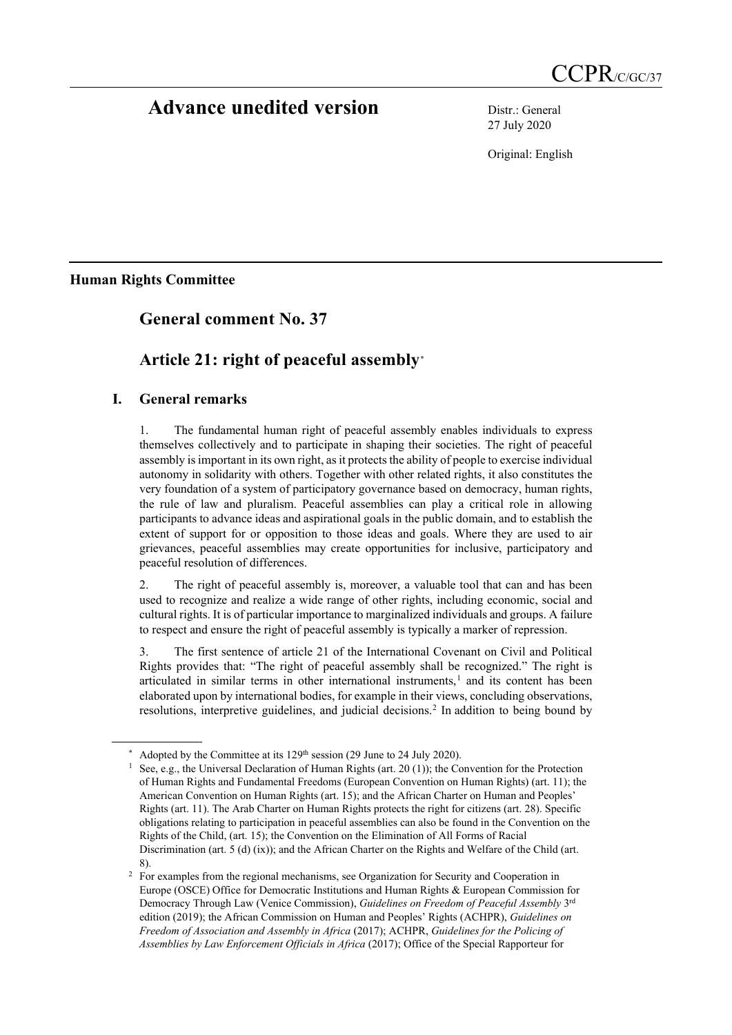# **Advance unedited version** Distr.: General

27 July 2020

Original: English

**Human Rights Committee**

## **General comment No. 37**

# **Article 21: right of peaceful assembly[\\*](#page-0-0)**

## **I. General remarks**

1. The fundamental human right of peaceful assembly enables individuals to express themselves collectively and to participate in shaping their societies. The right of peaceful assembly is important in its own right, as it protects the ability of people to exercise individual autonomy in solidarity with others. Together with other related rights, it also constitutes the very foundation of a system of participatory governance based on democracy, human rights, the rule of law and pluralism. Peaceful assemblies can play a critical role in allowing participants to advance ideas and aspirational goals in the public domain, and to establish the extent of support for or opposition to those ideas and goals. Where they are used to air grievances, peaceful assemblies may create opportunities for inclusive, participatory and peaceful resolution of differences.

2. The right of peaceful assembly is, moreover, a valuable tool that can and has been used to recognize and realize a wide range of other rights, including economic, social and cultural rights. It is of particular importance to marginalized individuals and groups. A failure to respect and ensure the right of peaceful assembly is typically a marker of repression.

3. The first sentence of article 21 of the International Covenant on Civil and Political Rights provides that: "The right of peaceful assembly shall be recognized." The right is articulated in similar terms in other international instruments, [1](#page-0-1) and its content has been elaborated upon by international bodies, for example in their views, concluding observations, resolutions, interpretive guidelines, and judicial decisions.[2](#page-0-2) In addition to being bound by

<span id="page-0-1"></span><span id="page-0-0"></span>

<sup>&</sup>lt;sup>\*</sup> Adopted by the Committee at its 129<sup>th</sup> session (29 June to 24 July 2020).<br><sup>1</sup> See, e.g., the Universal Declaration of Human Rights (art. 20 (1)); the Convention for the Protection of Human Rights and Fundamental Freedoms (European Convention on Human Rights) (art. 11); the American Convention on Human Rights (art. 15); and the African Charter on Human and Peoples' Rights (art. 11). The Arab Charter on Human Rights protects the right for citizens (art. 28). Specific obligations relating to participation in peaceful assemblies can also be found in the Convention on the Rights of the Child, (art. 15); the Convention on the Elimination of All Forms of Racial Discrimination (art. 5 (d) (ix)); and the African Charter on the Rights and Welfare of the Child (art. 8).

<span id="page-0-2"></span><sup>&</sup>lt;sup>2</sup> For examples from the regional mechanisms, see Organization for Security and Cooperation in Europe (OSCE) Office for Democratic Institutions and Human Rights & European Commission for Democracy Through Law (Venice Commission), *Guidelines on Freedom of Peaceful Assembly* 3rd edition (2019); the African Commission on Human and Peoples' Rights (ACHPR), *Guidelines on Freedom of Association and Assembly in Africa* (2017); ACHPR, *Guidelines for the Policing of Assemblies by Law Enforcement Officials in Africa* (2017); Office of the Special Rapporteur for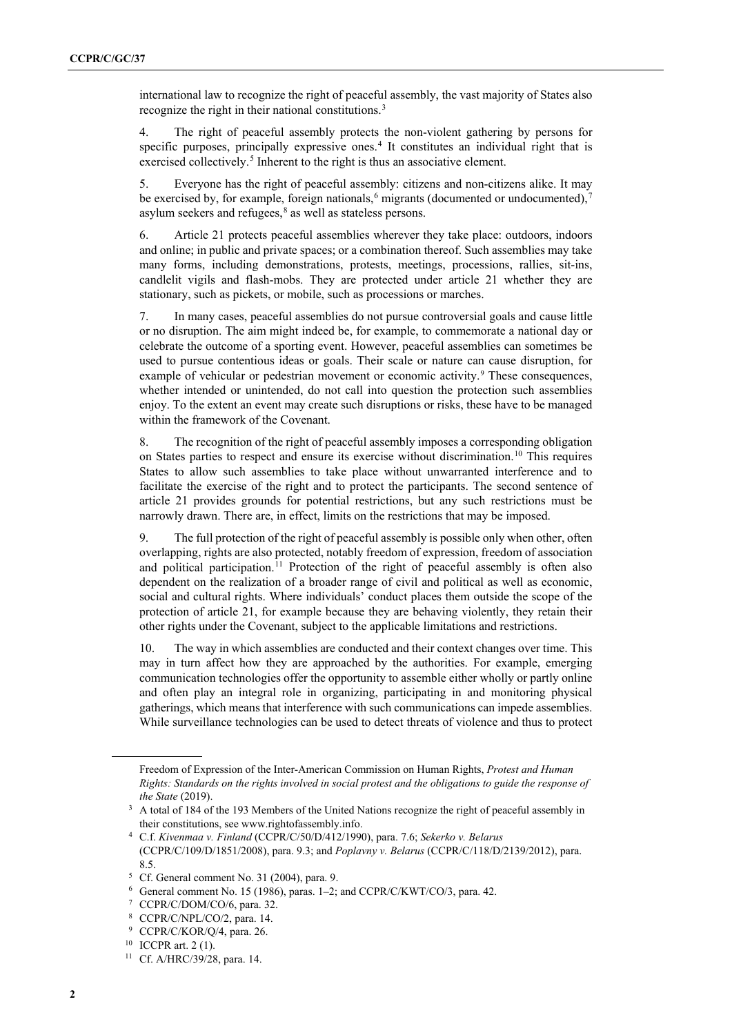international law to recognize the right of peaceful assembly, the vast majority of States also recognize the right in their national constitutions.<sup>[3](#page-1-0)</sup>

4. The right of peaceful assembly protects the non-violent gathering by persons for specific purposes, principally expressive ones. [4](#page-1-1) It constitutes an individual right that is exercised collectively.<sup>[5](#page-1-2)</sup> Inherent to the right is thus an associative element.

5. Everyone has the right of peaceful assembly: citizens and non-citizens alike. It may be exercised by, for example, foreign nationals,  $6$  migrants (documented or undocumented),  $7$ asylum seekers and refugees, $8$  as well as stateless persons.

6. Article 21 protects peaceful assemblies wherever they take place: outdoors, indoors and online; in public and private spaces; or a combination thereof. Such assemblies may take many forms, including demonstrations, protests, meetings, processions, rallies, sit-ins, candlelit vigils and flash-mobs. They are protected under article 21 whether they are stationary, such as pickets, or mobile, such as processions or marches.

7. In many cases, peaceful assemblies do not pursue controversial goals and cause little or no disruption. The aim might indeed be, for example, to commemorate a national day or celebrate the outcome of a sporting event. However, peaceful assemblies can sometimes be used to pursue contentious ideas or goals. Their scale or nature can cause disruption, for example of vehicular or pedestrian movement or economic activity.<sup>[9](#page-1-6)</sup> These consequences, whether intended or unintended, do not call into question the protection such assemblies enjoy. To the extent an event may create such disruptions or risks, these have to be managed within the framework of the Covenant.

8. The recognition of the right of peaceful assembly imposes a corresponding obligation on States parties to respect and ensure its exercise without discrimination. [10](#page-1-7) This requires States to allow such assemblies to take place without unwarranted interference and to facilitate the exercise of the right and to protect the participants. The second sentence of article 21 provides grounds for potential restrictions, but any such restrictions must be narrowly drawn. There are, in effect, limits on the restrictions that may be imposed.

9. The full protection of the right of peaceful assembly is possible only when other, often overlapping, rights are also protected, notably freedom of expression, freedom of association and political participation. [11](#page-1-8) Protection of the right of peaceful assembly is often also dependent on the realization of a broader range of civil and political as well as economic, social and cultural rights. Where individuals' conduct places them outside the scope of the protection of article 21, for example because they are behaving violently, they retain their other rights under the Covenant, subject to the applicable limitations and restrictions.

10. The way in which assemblies are conducted and their context changes over time. This may in turn affect how they are approached by the authorities. For example, emerging communication technologies offer the opportunity to assemble either wholly or partly online and often play an integral role in organizing, participating in and monitoring physical gatherings, which means that interference with such communications can impede assemblies. While surveillance technologies can be used to detect threats of violence and thus to protect

Freedom of Expression of the Inter-American Commission on Human Rights, *Protest and Human Rights: Standards on the rights involved in social protest and the obligations to guide the response of the State* (2019).

<span id="page-1-0"></span><sup>&</sup>lt;sup>3</sup> A total of 184 of the 193 Members of the United Nations recognize the right of peaceful assembly in their constitutions, see www.rightofassembly.info.

<span id="page-1-1"></span><sup>4</sup> C.f. *Kivenmaa v. Finland* (CCPR/C/50/D/412/1990), para. 7.6; *Sekerko v. Belarus* (CCPR/C/109/D/1851/2008), para. 9.3; and *Poplavny v. Belarus* (CCPR/C/118/D/2139/2012), para. 8.5.

<span id="page-1-2"></span><sup>5</sup> Cf. General comment No. 31 (2004), para. 9.

<span id="page-1-3"></span><sup>6</sup> General comment No. 15 (1986), paras. 1–2; and CCPR/C/KWT/CO/3, para. 42.

<span id="page-1-4"></span><sup>7</sup> CCPR/C/DOM/CO/6, para. 32.

<sup>8</sup> CCPR/C/NPL/CO/2, para. 14.

<span id="page-1-5"></span><sup>9</sup> CCPR/C/KOR/Q/4, para. 26.

<span id="page-1-7"></span><span id="page-1-6"></span><sup>10</sup> ICCPR art. 2 (1).

<span id="page-1-8"></span><sup>11</sup> Cf. A/HRC/39/28, para. 14.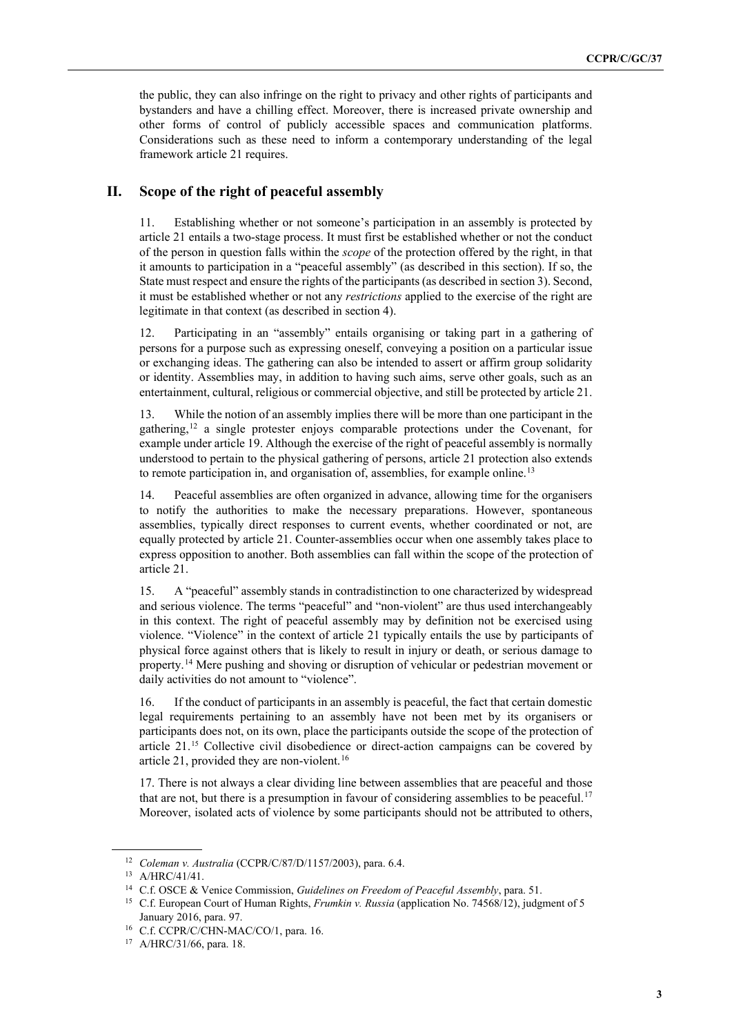the public, they can also infringe on the right to privacy and other rights of participants and bystanders and have a chilling effect. Moreover, there is increased private ownership and other forms of control of publicly accessible spaces and communication platforms. Considerations such as these need to inform a contemporary understanding of the legal framework article 21 requires.

#### **II. Scope of the right of peaceful assembly**

11. Establishing whether or not someone's participation in an assembly is protected by article 21 entails a two-stage process. It must first be established whether or not the conduct of the person in question falls within the *scope* of the protection offered by the right, in that it amounts to participation in a "peaceful assembly" (as described in this section). If so, the State must respect and ensure the rights of the participants (as described in section 3). Second, it must be established whether or not any *restrictions* applied to the exercise of the right are legitimate in that context (as described in section 4).

12. Participating in an "assembly" entails organising or taking part in a gathering of persons for a purpose such as expressing oneself, conveying a position on a particular issue or exchanging ideas. The gathering can also be intended to assert or affirm group solidarity or identity. Assemblies may, in addition to having such aims, serve other goals, such as an entertainment, cultural, religious or commercial objective, and still be protected by article 21.

13. While the notion of an assembly implies there will be more than one participant in the gathering,[12](#page-2-0) a single protester enjoys comparable protections under the Covenant, for example under article 19. Although the exercise of the right of peaceful assembly is normally understood to pertain to the physical gathering of persons, article 21 protection also extends to remote participation in, and organisation of, assemblies, for example online.<sup>[13](#page-2-1)</sup>

14. Peaceful assemblies are often organized in advance, allowing time for the organisers to notify the authorities to make the necessary preparations. However, spontaneous assemblies, typically direct responses to current events, whether coordinated or not, are equally protected by article 21. Counter-assemblies occur when one assembly takes place to express opposition to another. Both assemblies can fall within the scope of the protection of article 21.

15. A "peaceful" assembly stands in contradistinction to one characterized by widespread and serious violence. The terms "peaceful" and "non-violent" are thus used interchangeably in this context. The right of peaceful assembly may by definition not be exercised using violence. "Violence" in the context of article 21 typically entails the use by participants of physical force against others that is likely to result in injury or death, or serious damage to property.[14](#page-2-2) Mere pushing and shoving or disruption of vehicular or pedestrian movement or daily activities do not amount to "violence".

16. If the conduct of participants in an assembly is peaceful, the fact that certain domestic legal requirements pertaining to an assembly have not been met by its organisers or participants does not, on its own, place the participants outside the scope of the protection of article 21.[15](#page-2-3) Collective civil disobedience or direct-action campaigns can be covered by article 21, provided they are non-violent.[16](#page-2-4)

17. There is not always a clear dividing line between assemblies that are peaceful and those that are not, but there is a presumption in favour of considering assemblies to be peaceful.<sup>[17](#page-2-5)</sup> Moreover, isolated acts of violence by some participants should not be attributed to others,

<span id="page-2-0"></span><sup>12</sup> *Coleman v. Australia* (CCPR/C/87/D/1157/2003), para. 6.4.

<span id="page-2-1"></span><sup>13</sup> A/HRC/41/41.

<span id="page-2-2"></span><sup>14</sup> C.f. OSCE & Venice Commission, *Guidelines on Freedom of Peaceful Assembly*, para. 51.

<span id="page-2-3"></span><sup>15</sup> C.f. European Court of Human Rights, *Frumkin v. Russia* (application No. 74568/12), judgment of 5 January 2016, para. 97.

<span id="page-2-4"></span><sup>&</sup>lt;sup>16</sup> C.f. CCPR/C/CHN-MAC/CO/1, para. 16.

<span id="page-2-5"></span><sup>17</sup> A/HRC/31/66, para. 18.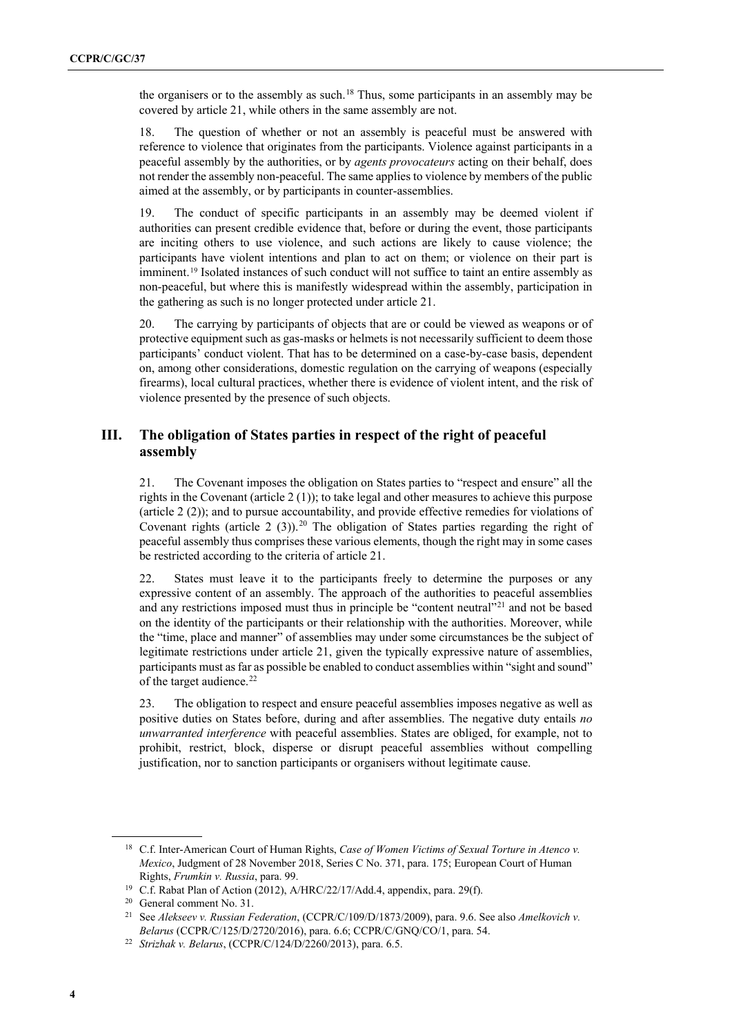the organisers or to the assembly as such. [18](#page-3-0) Thus, some participants in an assembly may be covered by article 21, while others in the same assembly are not.

18. The question of whether or not an assembly is peaceful must be answered with reference to violence that originates from the participants. Violence against participants in a peaceful assembly by the authorities, or by *agents provocateurs* acting on their behalf, does not render the assembly non-peaceful. The same applies to violence by members of the public aimed at the assembly, or by participants in counter-assemblies.

19. The conduct of specific participants in an assembly may be deemed violent if authorities can present credible evidence that, before or during the event, those participants are inciting others to use violence, and such actions are likely to cause violence; the participants have violent intentions and plan to act on them; or violence on their part is imminent.<sup>[19](#page-3-1)</sup> Isolated instances of such conduct will not suffice to taint an entire assembly as non-peaceful, but where this is manifestly widespread within the assembly, participation in the gathering as such is no longer protected under article 21.

20. The carrying by participants of objects that are or could be viewed as weapons or of protective equipment such as gas-masks or helmets is not necessarily sufficient to deem those participants' conduct violent. That has to be determined on a case-by-case basis, dependent on, among other considerations, domestic regulation on the carrying of weapons (especially firearms), local cultural practices, whether there is evidence of violent intent, and the risk of violence presented by the presence of such objects.

#### **III. The obligation of States parties in respect of the right of peaceful assembly**

21. The Covenant imposes the obligation on States parties to "respect and ensure" all the rights in the Covenant (article  $2(1)$ ); to take legal and other measures to achieve this purpose (article 2 (2)); and to pursue accountability, and provide effective remedies for violations of Covenant rights (article 2 (3)).<sup>[20](#page-3-2)</sup> The obligation of States parties regarding the right of peaceful assembly thus comprises these various elements, though the right may in some cases be restricted according to the criteria of article 21.

22. States must leave it to the participants freely to determine the purposes or any expressive content of an assembly. The approach of the authorities to peaceful assemblies and any restrictions imposed must thus in principle be "content neutral"<sup>[21](#page-3-3)</sup> and not be based on the identity of the participants or their relationship with the authorities. Moreover, while the "time, place and manner" of assemblies may under some circumstances be the subject of legitimate restrictions under article 21, given the typically expressive nature of assemblies, participants must as far as possible be enabled to conduct assemblies within "sight and sound" of the target audience.<sup>[22](#page-3-4)</sup>

23. The obligation to respect and ensure peaceful assemblies imposes negative as well as positive duties on States before, during and after assemblies. The negative duty entails *no unwarranted interference* with peaceful assemblies. States are obliged, for example, not to prohibit, restrict, block, disperse or disrupt peaceful assemblies without compelling justification, nor to sanction participants or organisers without legitimate cause.

<span id="page-3-0"></span><sup>&</sup>lt;sup>18</sup> C.f. Inter-American Court of Human Rights, *Case of Women Victims of Sexual Torture in Atenco v. Mexico*, Judgment of 28 November 2018, Series C No. 371, para. 175; European Court of Human Rights, *Frumkin v. Russia*, para. 99.

<span id="page-3-1"></span><sup>&</sup>lt;sup>19</sup> C.f. Rabat Plan of Action (2012), A/HRC/22/17/Add.4, appendix, para. 29(f).

<span id="page-3-2"></span><sup>20</sup> General comment No. 31.

<span id="page-3-3"></span><sup>21</sup> See *Alekseev v. Russian Federation*, (CCPR/C/109/D/1873/2009), para. 9.6. See also *Amelkovich v. Belarus* (CCPR/C/125/D/2720/2016), para. 6.6; CCPR/C/GNQ/CO/1, para. 54.

<span id="page-3-4"></span><sup>22</sup> *Strizhak v. Belarus*, (CCPR/C/124/D/2260/2013), para. 6.5.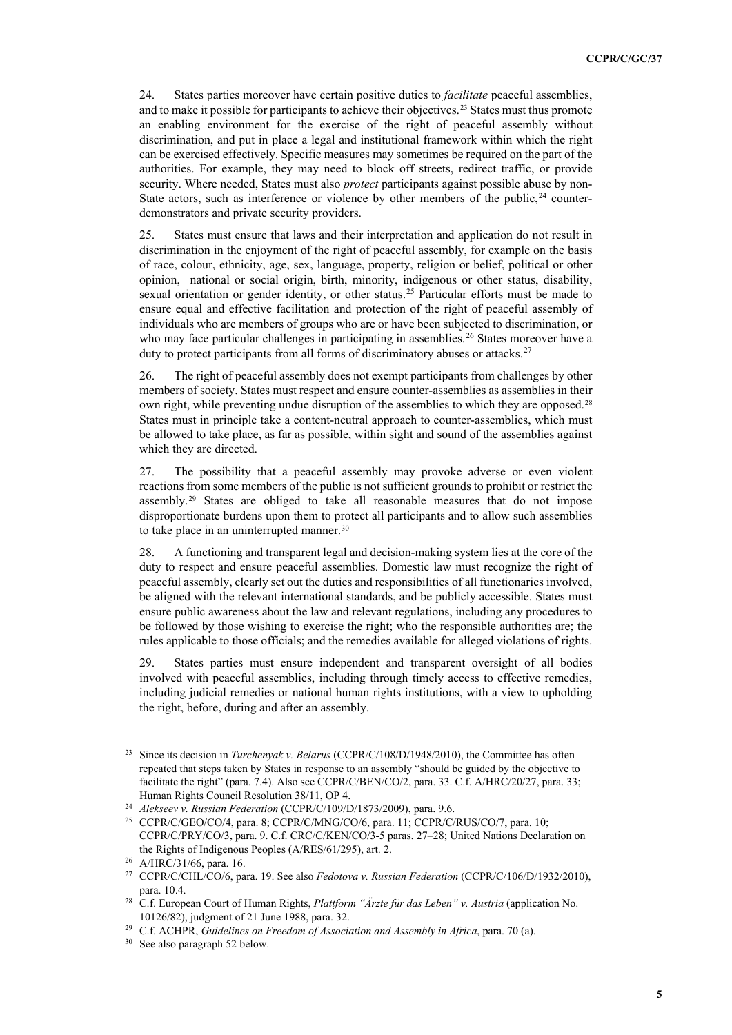24. States parties moreover have certain positive duties to *facilitate* peaceful assemblies, and to make it possible for participants to achieve their objectives.[23](#page-4-0) States must thus promote an enabling environment for the exercise of the right of peaceful assembly without discrimination, and put in place a legal and institutional framework within which the right can be exercised effectively. Specific measures may sometimes be required on the part of the authorities. For example, they may need to block off streets, redirect traffic, or provide security. Where needed, States must also *protect* participants against possible abuse by non-State actors, such as interference or violence by other members of the public,  $24$  counterdemonstrators and private security providers.

25. States must ensure that laws and their interpretation and application do not result in discrimination in the enjoyment of the right of peaceful assembly, for example on the basis of race, colour, ethnicity, age, sex, language, property, religion or belief, political or other opinion, national or social origin, birth, minority, indigenous or other status, disability, sexual orientation or gender identity, or other status.<sup>[25](#page-4-2)</sup> Particular efforts must be made to ensure equal and effective facilitation and protection of the right of peaceful assembly of individuals who are members of groups who are or have been subjected to discrimination, or who may face particular challenges in participating in assemblies.<sup>[26](#page-4-3)</sup> States moreover have a duty to protect participants from all forms of discriminatory abuses or attacks.<sup>[27](#page-4-4)</sup>

26. The right of peaceful assembly does not exempt participants from challenges by other members of society. States must respect and ensure counter-assemblies as assemblies in their own right, while preventing undue disruption of the assemblies to which they are opposed.[28](#page-4-5) States must in principle take a content-neutral approach to counter-assemblies, which must be allowed to take place, as far as possible, within sight and sound of the assemblies against which they are directed.

27. The possibility that a peaceful assembly may provoke adverse or even violent reactions from some members of the public is not sufficient grounds to prohibit or restrict the assembly.[29](#page-4-6) States are obliged to take all reasonable measures that do not impose disproportionate burdens upon them to protect all participants and to allow such assemblies to take place in an uninterrupted manner.<sup>[30](#page-4-7)</sup>

28. A functioning and transparent legal and decision-making system lies at the core of the duty to respect and ensure peaceful assemblies. Domestic law must recognize the right of peaceful assembly, clearly set out the duties and responsibilities of all functionaries involved, be aligned with the relevant international standards, and be publicly accessible. States must ensure public awareness about the law and relevant regulations, including any procedures to be followed by those wishing to exercise the right; who the responsible authorities are; the rules applicable to those officials; and the remedies available for alleged violations of rights.

29. States parties must ensure independent and transparent oversight of all bodies involved with peaceful assemblies, including through timely access to effective remedies, including judicial remedies or national human rights institutions, with a view to upholding the right, before, during and after an assembly.

<span id="page-4-0"></span><sup>&</sup>lt;sup>23</sup> Since its decision in *Turchenyak v. Belarus* (CCPR/C/108/D/1948/2010), the Committee has often repeated that steps taken by States in response to an assembly "should be guided by the objective to facilitate the right" (para. 7.4). Also see CCPR/C/BEN/CO/2, para. 33. C.f. A/HRC/20/27, para. 33; Human Rights Council Resolution 38/11, OP 4.

<span id="page-4-2"></span><span id="page-4-1"></span><sup>&</sup>lt;sup>24</sup> *Alekseev v. Russian Federation* (CCPR/C/109/D/1873/2009), para. 9.6.<br><sup>25</sup> CCPR/C/GEO/CO/4, para. 8; CCPR/C/MNG/CO/6, para. 11; CCPR/C/RUS/CO/7, para. 10; CCPR/C/PRY/CO/3, para. 9. C.f. CRC/C/KEN/CO/3-5 paras. 27–28; United Nations Declaration on the Rights of Indigenous Peoples (A/RES/61/295), art. 2.

<sup>26</sup> A/HRC/31/66, para. 16.

<span id="page-4-5"></span><span id="page-4-4"></span><span id="page-4-3"></span><sup>27</sup> CCPR/C/CHL/CO/6, para. 19. See also *Fedotova v. Russian Federation* (CCPR/C/106/D/1932/2010), para. 10.4. 28 C.f. European Court of Human Rights, *Plattform "Ärzte für das Leben" v. Austria* (application No.

<sup>10126/82),</sup> judgment of 21 June 1988, para. 32.

<span id="page-4-6"></span><sup>29</sup> C.f. ACHPR, *Guidelines on Freedom of Association and Assembly in Africa*, para. 70 (a).

<span id="page-4-7"></span><sup>30</sup> See also paragraph 52 below.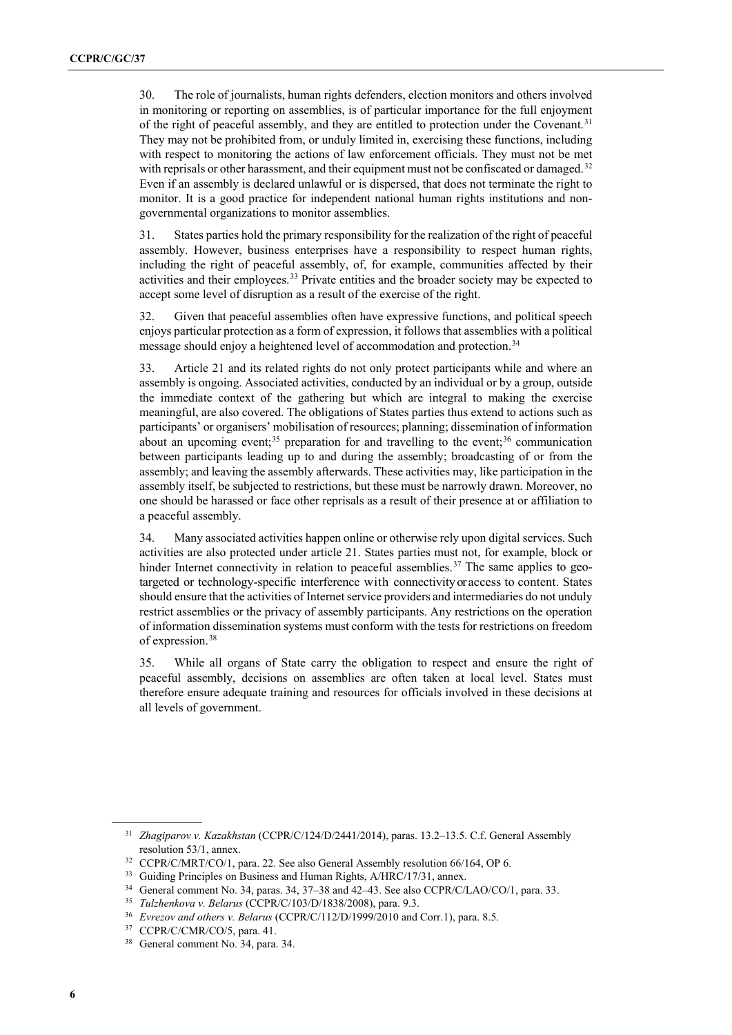30. The role of journalists, human rights defenders, election monitors and others involved in monitoring or reporting on assemblies, is of particular importance for the full enjoyment of the right of peaceful assembly, and they are entitled to protection under the Covenant.[31](#page-5-0) They may not be prohibited from, or unduly limited in, exercising these functions, including with respect to monitoring the actions of law enforcement officials. They must not be met with reprisals or other harassment, and their equipment must not be confiscated or damaged.<sup>[32](#page-5-1)</sup> Even if an assembly is declared unlawful or is dispersed, that does not terminate the right to monitor. It is a good practice for independent national human rights institutions and nongovernmental organizations to monitor assemblies.

31. States parties hold the primary responsibility for the realization of the right of peaceful assembly. However, business enterprises have a responsibility to respect human rights, including the right of peaceful assembly, of, for example, communities affected by their activities and their employees.<sup>[33](#page-5-2)</sup> Private entities and the broader society may be expected to accept some level of disruption as a result of the exercise of the right.

32. Given that peaceful assemblies often have expressive functions, and political speech enjoys particular protection as a form of expression, it follows that assemblies with a political message should enjoy a heightened level of accommodation and protection.<sup>[34](#page-5-3)</sup>

33. Article 21 and its related rights do not only protect participants while and where an assembly is ongoing. Associated activities, conducted by an individual or by a group, outside the immediate context of the gathering but which are integral to making the exercise meaningful, are also covered. The obligations of States parties thus extend to actions such as participants' or organisers' mobilisation of resources; planning; dissemination of information about an upcoming event;<sup>[35](#page-5-4)</sup> preparation for and travelling to the event;<sup>[36](#page-5-5)</sup> communication between participants leading up to and during the assembly; broadcasting of or from the assembly; and leaving the assembly afterwards. These activities may, like participation in the assembly itself, be subjected to restrictions, but these must be narrowly drawn. Moreover, no one should be harassed or face other reprisals as a result of their presence at or affiliation to a peaceful assembly.

34. Many associated activities happen online or otherwise rely upon digital services. Such activities are also protected under article 21. States parties must not, for example, block or hinder Internet connectivity in relation to peaceful assemblies.<sup>[37](#page-5-6)</sup> The same applies to geotargeted or technology-specific interference with connectivityor access to content. States should ensure that the activities of Internet service providers and intermediaries do not unduly restrict assemblies or the privacy of assembly participants. Any restrictions on the operation of information dissemination systems must conform with the tests for restrictions on freedom of expression.[38](#page-5-7)

35. While all organs of State carry the obligation to respect and ensure the right of peaceful assembly, decisions on assemblies are often taken at local level. States must therefore ensure adequate training and resources for officials involved in these decisions at all levels of government.

<span id="page-5-0"></span><sup>31</sup> *Zhagiparov v. Kazakhstan* (CCPR/C/124/D/2441/2014), paras. 13.2–13.5. C.f. General Assembly resolution 53/1, annex.

<span id="page-5-1"></span><sup>32</sup> CCPR/C/MRT/CO/1, para. 22. See also General Assembly resolution 66/164, OP 6.

<span id="page-5-2"></span><sup>&</sup>lt;sup>33</sup> Guiding Principles on Business and Human Rights, A/HRC/17/31, annex.

<span id="page-5-3"></span><sup>34</sup> General comment No. 34, paras. 34, 37–38 and 42–43. See also CCPR/C/LAO/CO/1, para. 33.

<span id="page-5-4"></span><sup>35</sup> *Tulzhenkova v. Belarus* (CCPR/C/103/D/1838/2008), para. 9.3.

<span id="page-5-5"></span><sup>36</sup> *Evrezov and others v. Belarus* (CCPR/C/112/D/1999/2010 and Corr.1), para. 8.5.

<sup>37</sup> CCPR/C/CMR/CO/5, para. 41.

<span id="page-5-7"></span><span id="page-5-6"></span><sup>38</sup> General comment No. 34, para. 34.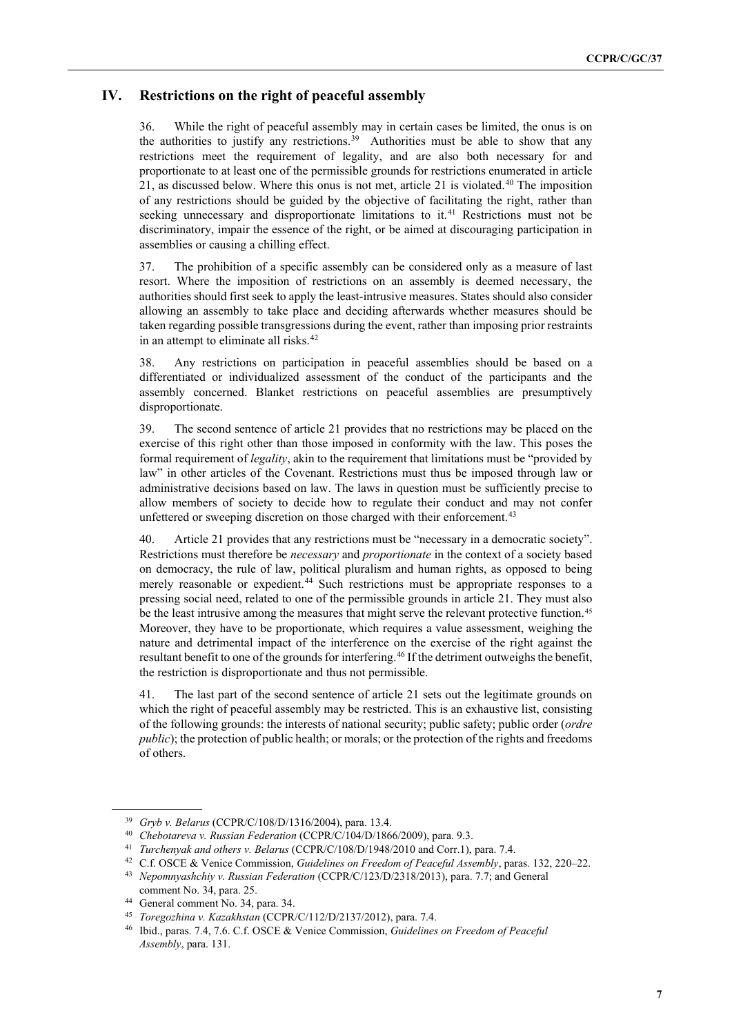### **IV. Restrictions on the right of peaceful assembly**

36. While the right of peaceful assembly may in certain cases be limited, the onus is on the authorities to justify any restrictions. [39](#page-6-0) Authorities must be able to show that any restrictions meet the requirement of legality, and are also both necessary for and proportionate to at least one of the permissible grounds for restrictions enumerated in article 21, as discussed below. Where this onus is not met, article 21 is violated.<sup>[40](#page-6-1)</sup> The imposition of any restrictions should be guided by the objective of facilitating the right, rather than seeking unnecessary and disproportionate limitations to it.<sup>[41](#page-6-2)</sup> Restrictions must not be discriminatory, impair the essence of the right, or be aimed at discouraging participation in assemblies or causing a chilling effect.

37. The prohibition of a specific assembly can be considered only as a measure of last resort. Where the imposition of restrictions on an assembly is deemed necessary, the authorities should first seek to apply the least-intrusive measures. States should also consider allowing an assembly to take place and deciding afterwards whether measures should be taken regarding possible transgressions during the event, rather than imposing prior restraints in an attempt to eliminate all risks.<sup>42</sup>

38. Any restrictions on participation in peaceful assemblies should be based on a differentiated or individualized assessment of the conduct of the participants and the assembly concerned. Blanket restrictions on peaceful assemblies are presumptively disproportionate.

39. The second sentence of article 21 provides that no restrictions may be placed on the exercise of this right other than those imposed in conformity with the law. This poses the formal requirement of *legality*, akin to the requirement that limitations must be "provided by law" in other articles of the Covenant. Restrictions must thus be imposed through law or administrative decisions based on law. The laws in question must be sufficiently precise to allow members of society to decide how to regulate their conduct and may not confer unfettered or sweeping discretion on those charged with their enforcement.<sup>[43](#page-6-4)</sup>

40. Article 21 provides that any restrictions must be "necessary in a democratic society". Restrictions must therefore be *necessary* and *proportionate* in the context of a society based on democracy, the rule of law, political pluralism and human rights, as opposed to being merely reasonable or expedient.<sup>[44](#page-6-5)</sup> Such restrictions must be appropriate responses to a pressing social need, related to one of the permissible grounds in article 21. They must also be the least intrusive among the measures that might serve the relevant protective function.<sup>[45](#page-6-6)</sup> Moreover, they have to be proportionate, which requires a value assessment, weighing the nature and detrimental impact of the interference on the exercise of the right against the resultant benefit to one of the grounds for interfering.<sup>[46](#page-6-7)</sup> If the detriment outweighs the benefit, the restriction is disproportionate and thus not permissible.

41. The last part of the second sentence of article 21 sets out the legitimate grounds on which the right of peaceful assembly may be restricted. This is an exhaustive list, consisting of the following grounds: the interests of national security; public safety; public order (*ordre public*); the protection of public health; or morals; or the protection of the rights and freedoms of others.

<span id="page-6-1"></span><span id="page-6-0"></span><sup>39</sup> *Gryb v. Belarus* (CCPR/C/108/D/1316/2004), para. 13.4. 40 *Chebotareva v. Russian Federation* (CCPR/C/104/D/1866/2009), para. 9.3.

<span id="page-6-2"></span><sup>41</sup> *Turchenyak and others v. Belarus* (CCPR/C/108/D/1948/2010 and Corr.1), para. 7.4.

<span id="page-6-3"></span><sup>42</sup> C.f. OSCE & Venice Commission, *Guidelines on Freedom of Peaceful Assembly*, paras. 132, 220–22.

<span id="page-6-4"></span><sup>43</sup> *Nepomnyashchiy v. Russian Federation* (CCPR/C/123/D/2318/2013), para. 7.7; and General comment No. 34, para. 25.

<sup>44</sup> General comment No. 34, para. 34.

<span id="page-6-7"></span><span id="page-6-6"></span><span id="page-6-5"></span><sup>45</sup> *Toregozhina v. Kazakhstan* (CCPR/C/112/D/2137/2012), para. 7.4.

<sup>46</sup> Ibid., paras. 7.4, 7.6. C.f. OSCE & Venice Commission, *Guidelines on Freedom of Peaceful Assembly*, para. 131.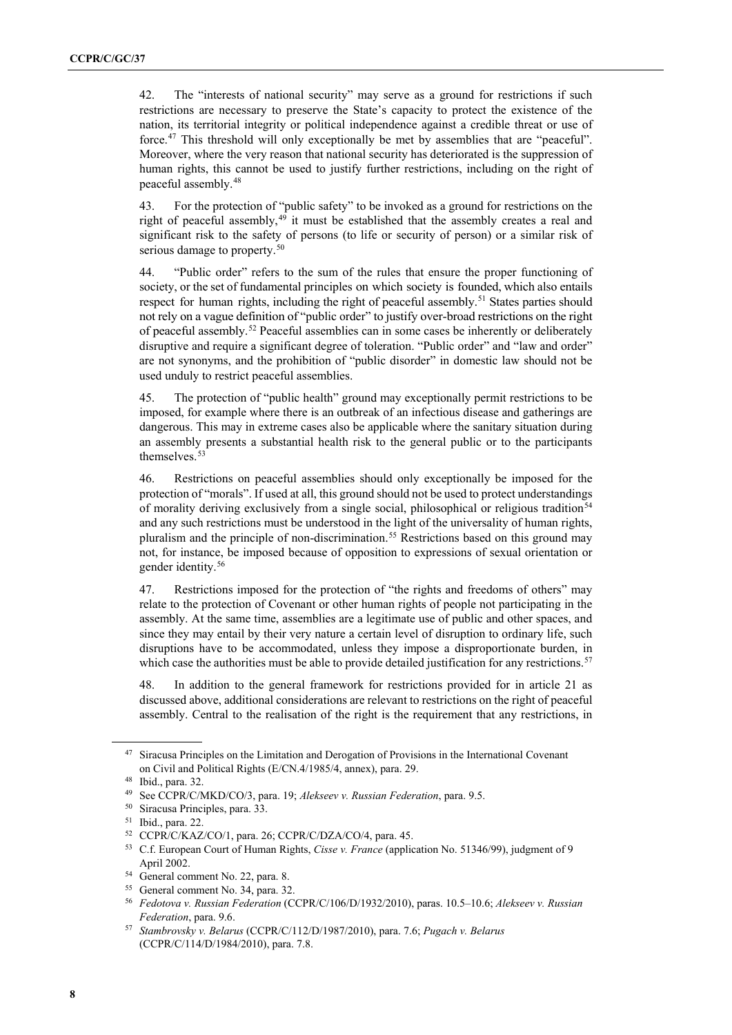42. The "interests of national security" may serve as a ground for restrictions if such restrictions are necessary to preserve the State's capacity to protect the existence of the nation, its territorial integrity or political independence against a credible threat or use of force.[47](#page-7-0) This threshold will only exceptionally be met by assemblies that are "peaceful". Moreover, where the very reason that national security has deteriorated is the suppression of human rights, this cannot be used to justify further restrictions, including on the right of peaceful assembly.[48](#page-7-1)

43. For the protection of "public safety" to be invoked as a ground for restrictions on the right of peaceful assembly,<sup>[49](#page-7-2)</sup> it must be established that the assembly creates a real and significant risk to the safety of persons (to life or security of person) or a similar risk of serious damage to property.<sup>[50](#page-7-3)</sup>

44. "Public order" refers to the sum of the rules that ensure the proper functioning of society, or the set of fundamental principles on which society is founded, which also entails respect for human rights, including the right of peaceful assembly.<sup>[51](#page-7-4)</sup> States parties should not rely on a vague definition of "public order" to justify over-broad restrictions on the right of peaceful assembly.[52](#page-7-5) Peaceful assemblies can in some cases be inherently or deliberately disruptive and require a significant degree of toleration. "Public order" and "law and order" are not synonyms, and the prohibition of "public disorder" in domestic law should not be used unduly to restrict peaceful assemblies.

45. The protection of "public health" ground may exceptionally permit restrictions to be imposed, for example where there is an outbreak of an infectious disease and gatherings are dangerous. This may in extreme cases also be applicable where the sanitary situation during an assembly presents a substantial health risk to the general public or to the participants themselves.<sup>[53](#page-7-6)</sup>

46. Restrictions on peaceful assemblies should only exceptionally be imposed for the protection of "morals". If used at all, this ground should not be used to protect understandings of morality deriving exclusively from a single social, philosophical or religious tradition<sup>[54](#page-7-7)</sup> and any such restrictions must be understood in the light of the universality of human rights, pluralism and the principle of non-discrimination. [55](#page-7-8) Restrictions based on this ground may not, for instance, be imposed because of opposition to expressions of sexual orientation or gender identity. [56](#page-7-9)

47. Restrictions imposed for the protection of "the rights and freedoms of others" may relate to the protection of Covenant or other human rights of people not participating in the assembly. At the same time, assemblies are a legitimate use of public and other spaces, and since they may entail by their very nature a certain level of disruption to ordinary life, such disruptions have to be accommodated, unless they impose a disproportionate burden, in which case the authorities must be able to provide detailed justification for any restrictions.<sup>57</sup>

48. In addition to the general framework for restrictions provided for in article 21 as discussed above, additional considerations are relevant to restrictions on the right of peaceful assembly. Central to the realisation of the right is the requirement that any restrictions, in

<span id="page-7-0"></span><sup>&</sup>lt;sup>47</sup> Siracusa Principles on the Limitation and Derogation of Provisions in the International Covenant on Civil and Political Rights (E/CN.4/1985/4, annex), para. 29.

<span id="page-7-1"></span><sup>48</sup> Ibid., para. 32.

<span id="page-7-2"></span><sup>49</sup> See CCPR/C/MKD/CO/3, para. 19; *Alekseev v. Russian Federation*, para. 9.5.

<span id="page-7-3"></span><sup>50</sup> Siracusa Principles, para. 33.

<span id="page-7-4"></span><sup>51</sup> Ibid., para. 22.

<span id="page-7-5"></span><sup>52</sup> CCPR/C/KAZ/CO/1, para. 26; CCPR/C/DZA/CO/4, para. 45.

<span id="page-7-6"></span><sup>53</sup> C.f. European Court of Human Rights, *Cisse v. France* (application No. 51346/99), judgment of 9 April 2002.

<span id="page-7-7"></span><sup>54</sup> General comment No. 22, para. 8.

<span id="page-7-8"></span><sup>55</sup> General comment No. 34, para. 32.

<span id="page-7-9"></span><sup>56</sup> *Fedotova v. Russian Federation* (CCPR/C/106/D/1932/2010), paras. 10.5–10.6; *Alekseev v. Russian Federation*, para. 9.6.

<span id="page-7-10"></span><sup>57</sup> *Stambrovsky v. Belarus* (CCPR/C/112/D/1987/2010), para. 7.6; *Pugach v. Belarus* (CCPR/C/114/D/1984/2010), para. 7.8.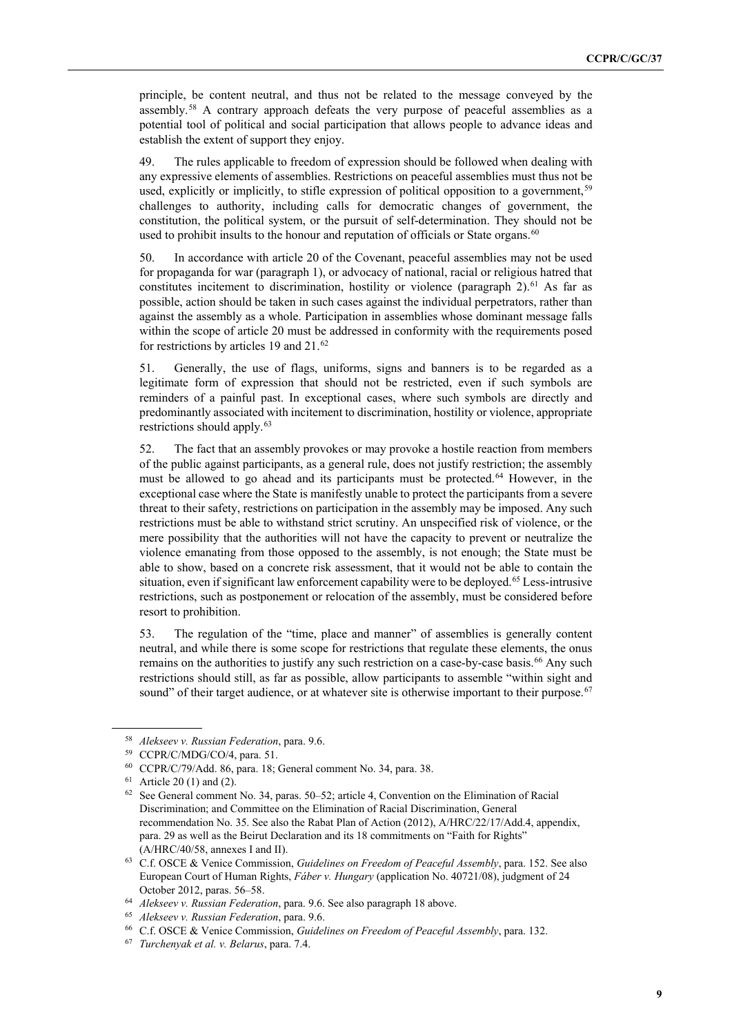principle, be content neutral, and thus not be related to the message conveyed by the assembly.[58](#page-8-0) A contrary approach defeats the very purpose of peaceful assemblies as a potential tool of political and social participation that allows people to advance ideas and establish the extent of support they enjoy.

49. The rules applicable to freedom of expression should be followed when dealing with any expressive elements of assemblies. Restrictions on peaceful assemblies must thus not be used, explicitly or implicitly, to stifle expression of political opposition to a government,<sup>[59](#page-8-1)</sup> challenges to authority, including calls for democratic changes of government, the constitution, the political system, or the pursuit of self-determination. They should not be used to prohibit insults to the honour and reputation of officials or State organs.<sup>[60](#page-8-2)</sup>

50. In accordance with article 20 of the Covenant, peaceful assemblies may not be used for propaganda for war (paragraph 1), or advocacy of national, racial or religious hatred that constitutes incitement to discrimination, hostility or violence (paragraph  $2$ ).<sup>[61](#page-8-3)</sup> As far as possible, action should be taken in such cases against the individual perpetrators, rather than against the assembly as a whole. Participation in assemblies whose dominant message falls within the scope of article 20 must be addressed in conformity with the requirements posed for restrictions by articles 19 and 21.<sup>[62](#page-8-4)</sup>

51. Generally, the use of flags, uniforms, signs and banners is to be regarded as a legitimate form of expression that should not be restricted, even if such symbols are reminders of a painful past. In exceptional cases, where such symbols are directly and predominantly associated with incitement to discrimination, hostility or violence, appropriate restrictions should apply.<sup>[63](#page-8-5)</sup>

52. The fact that an assembly provokes or may provoke a hostile reaction from members of the public against participants, as a general rule, does not justify restriction; the assembly must be allowed to go ahead and its participants must be protected.<sup>[64](#page-8-6)</sup> However, in the exceptional case where the State is manifestly unable to protect the participants from a severe threat to their safety, restrictions on participation in the assembly may be imposed. Any such restrictions must be able to withstand strict scrutiny. An unspecified risk of violence, or the mere possibility that the authorities will not have the capacity to prevent or neutralize the violence emanating from those opposed to the assembly, is not enough; the State must be able to show, based on a concrete risk assessment, that it would not be able to contain the situation, even if significant law enforcement capability were to be deployed.<sup>[65](#page-8-7)</sup> Less-intrusive restrictions, such as postponement or relocation of the assembly, must be considered before resort to prohibition.

53. The regulation of the "time, place and manner" of assemblies is generally content neutral, and while there is some scope for restrictions that regulate these elements, the onus remains on the authorities to justify any such restriction on a case-by-case basis.<sup>[66](#page-8-8)</sup> Any such restrictions should still, as far as possible, allow participants to assemble "within sight and sound" of their target audience, or at whatever site is otherwise important to their purpose.<sup>[67](#page-8-9)</sup>

<span id="page-8-0"></span><sup>58</sup> *Alekseev v. Russian Federation*, para. 9.6.

<span id="page-8-1"></span><sup>59</sup> CCPR/C/MDG/CO/4, para. 51.

<span id="page-8-2"></span><sup>60</sup> CCPR/C/79/Add. 86, para. 18; General comment No. 34, para. 38.

<span id="page-8-3"></span> $61$  Article 20 (1) and (2).

<span id="page-8-4"></span><sup>62</sup> See General comment No. 34, paras. 50–52; article 4, Convention on the Elimination of Racial Discrimination; and Committee on the Elimination of Racial Discrimination, General recommendation No. 35. See also the Rabat Plan of Action (2012), A/HRC/22/17/Add.4, appendix, para. 29 as well as the Beirut Declaration and its 18 commitments on "Faith for Rights" (A/HRC/40/58, annexes I and II).

<span id="page-8-5"></span><sup>63</sup> C.f. OSCE & Venice Commission, *Guidelines on Freedom of Peaceful Assembly*, para. 152. See also European Court of Human Rights, *Fáber v. Hungary* (application No. 40721/08), judgment of 24 October 2012, paras. 56–58.

<span id="page-8-6"></span><sup>64</sup> *Alekseev v. Russian Federation*, para. 9.6. See also paragraph 18 above.

<span id="page-8-8"></span><span id="page-8-7"></span>

<sup>65</sup> *Alekseev v. Russian Federation*, para. 9.6. 66 C.f. OSCE & Venice Commission, *Guidelines on Freedom of Peaceful Assembly*, para. 132.

<span id="page-8-9"></span><sup>67</sup> *Turchenyak et al. v. Belarus*, para. 7.4.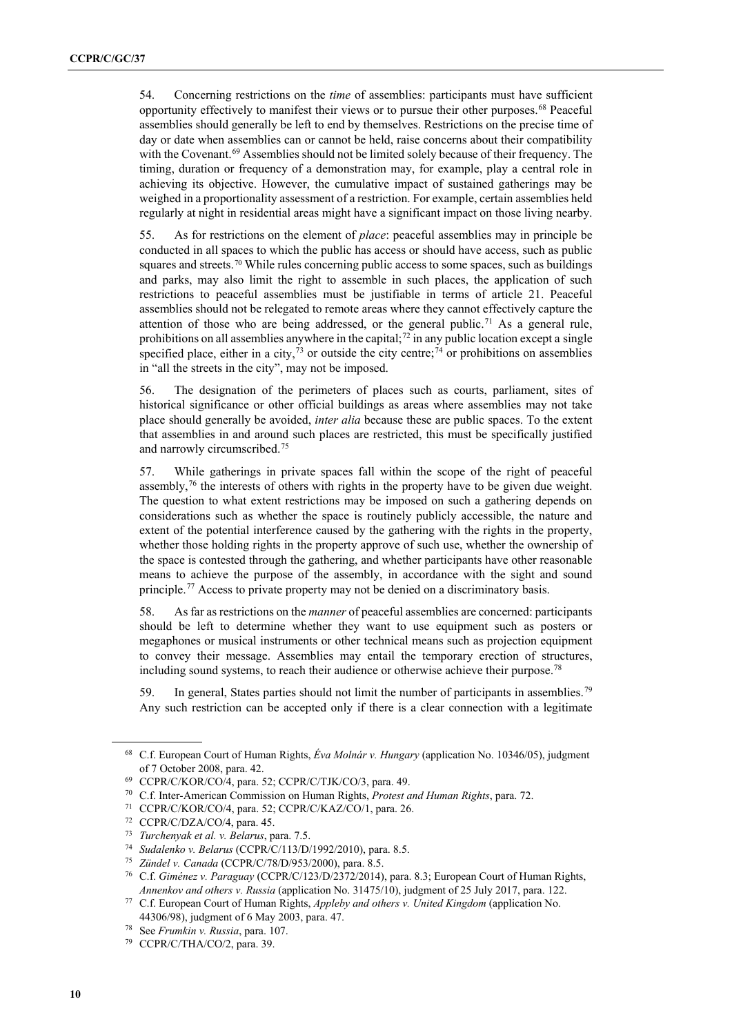54. Concerning restrictions on the *time* of assemblies: participants must have sufficient opportunity effectively to manifest their views or to pursue their other purposes. [68](#page-9-0) Peaceful assemblies should generally be left to end by themselves. Restrictions on the precise time of day or date when assemblies can or cannot be held, raise concerns about their compatibility with the Covenant.<sup>[69](#page-9-1)</sup> Assemblies should not be limited solely because of their frequency. The timing, duration or frequency of a demonstration may, for example, play a central role in achieving its objective. However, the cumulative impact of sustained gatherings may be weighed in a proportionality assessment of a restriction. For example, certain assemblies held regularly at night in residential areas might have a significant impact on those living nearby.

55. As for restrictions on the element of *place*: peaceful assemblies may in principle be conducted in all spaces to which the public has access or should have access, such as public squares and streets.<sup>[70](#page-9-2)</sup> While rules concerning public access to some spaces, such as buildings and parks, may also limit the right to assemble in such places, the application of such restrictions to peaceful assemblies must be justifiable in terms of article 21. Peaceful assemblies should not be relegated to remote areas where they cannot effectively capture the attention of those who are being addressed, or the general public.<sup>[71](#page-9-3)</sup> As a general rule, prohibitions on all assemblies anywhere in the capital;<sup>72</sup> in any public location except a single specified place, either in a city,  $^{73}$  $^{73}$  $^{73}$  or outside the city centre;  $^{74}$  $^{74}$  $^{74}$  or prohibitions on assemblies in "all the streets in the city", may not be imposed.

56. The designation of the perimeters of places such as courts, parliament, sites of historical significance or other official buildings as areas where assemblies may not take place should generally be avoided, *inter alia* because these are public spaces. To the extent that assemblies in and around such places are restricted, this must be specifically justified and narrowly circumscribed.[75](#page-9-7)

57. While gatherings in private spaces fall within the scope of the right of peaceful assembly, $^{76}$  $^{76}$  $^{76}$  the interests of others with rights in the property have to be given due weight. The question to what extent restrictions may be imposed on such a gathering depends on considerations such as whether the space is routinely publicly accessible, the nature and extent of the potential interference caused by the gathering with the rights in the property, whether those holding rights in the property approve of such use, whether the ownership of the space is contested through the gathering, and whether participants have other reasonable means to achieve the purpose of the assembly, in accordance with the sight and sound principle.<sup>[77](#page-9-9)</sup> Access to private property may not be denied on a discriminatory basis.

58. As far as restrictions on the *manner* of peaceful assemblies are concerned: participants should be left to determine whether they want to use equipment such as posters or megaphones or musical instruments or other technical means such as projection equipment to convey their message. Assemblies may entail the temporary erection of structures, including sound systems, to reach their audience or otherwise achieve their purpose. [78](#page-9-10)

59. In general, States parties should not limit the number of participants in assemblies.<sup>[79](#page-9-11)</sup> Any such restriction can be accepted only if there is a clear connection with a legitimate

<span id="page-9-0"></span><sup>68</sup> C.f. European Court of Human Rights, *Éva Molnár v. Hungary* (application No. 10346/05), judgment of 7 October 2008, para. 42.

<span id="page-9-1"></span><sup>69</sup> CCPR/C/KOR/CO/4, para. 52; CCPR/C/TJK/CO/3, para. 49.

<span id="page-9-2"></span><sup>70</sup> C.f. Inter-American Commission on Human Rights, *Protest and Human Rights*, para. 72.

<span id="page-9-3"></span><sup>71</sup> CCPR/C/KOR/CO/4, para. 52; CCPR/C/KAZ/CO/1, para. 26.

<span id="page-9-4"></span><sup>72</sup> CCPR/C/DZA/CO/4, para. 45.

<sup>73</sup> *Turchenyak et al. v. Belarus*, para. 7.5.

<span id="page-9-7"></span><span id="page-9-6"></span><span id="page-9-5"></span><sup>74</sup> *Sudalenko v. Belarus* (CCPR/C/113/D/1992/2010), para. 8.5.

<sup>75</sup> *Zündel v. Canada* (CCPR/C/78/D/953/2000), para. 8.5.

<span id="page-9-8"></span><sup>76</sup> C.f. *Giménez v. Paraguay* (CCPR/C/123/D/2372/2014), para. 8.3; European Court of Human Rights, *Annenkov and others v. Russia* (application No. 31475/10), judgment of 25 July 2017, para. 122.

<span id="page-9-9"></span><sup>77</sup> C.f. European Court of Human Rights, *Appleby and others v. United Kingdom* (application No. 44306/98), judgment of 6 May 2003, para. 47.

<span id="page-9-10"></span><sup>78</sup> See *Frumkin v. Russia*, para. 107.

<span id="page-9-11"></span> <sup>79</sup> CCPR/C/THA/CO/2, para. 39.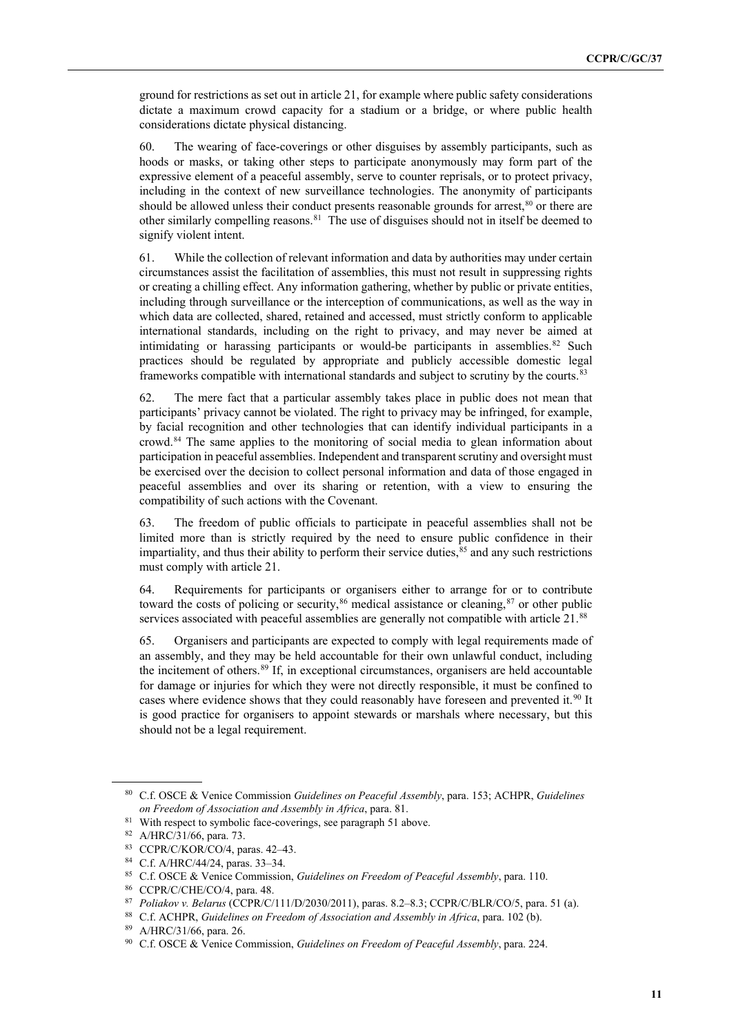ground for restrictions as set out in article 21, for example where public safety considerations dictate a maximum crowd capacity for a stadium or a bridge, or where public health considerations dictate physical distancing.

60. The wearing of face-coverings or other disguises by assembly participants, such as hoods or masks, or taking other steps to participate anonymously may form part of the expressive element of a peaceful assembly, serve to counter reprisals, or to protect privacy, including in the context of new surveillance technologies. The anonymity of participants should be allowed unless their conduct presents reasonable grounds for arrest, $80$  or there are other similarly compelling reasons.<sup>81</sup> The use of disguises should not in itself be deemed to signify violent intent.

61. While the collection of relevant information and data by authorities may under certain circumstances assist the facilitation of assemblies, this must not result in suppressing rights or creating a chilling effect. Any information gathering, whether by public or private entities, including through surveillance or the interception of communications, as well as the way in which data are collected, shared, retained and accessed, must strictly conform to applicable international standards, including on the right to privacy, and may never be aimed at intimidating or harassing participants or would-be participants in assemblies. $82$  Such practices should be regulated by appropriate and publicly accessible domestic legal frameworks compatible with international standards and subject to scrutiny by the courts.<sup>[83](#page-10-3)</sup>

62. The mere fact that a particular assembly takes place in public does not mean that participants' privacy cannot be violated. The right to privacy may be infringed, for example, by facial recognition and other technologies that can identify individual participants in a crowd.[84](#page-10-4) The same applies to the monitoring of social media to glean information about participation in peaceful assemblies. Independent and transparent scrutiny and oversight must be exercised over the decision to collect personal information and data of those engaged in peaceful assemblies and over its sharing or retention, with a view to ensuring the compatibility of such actions with the Covenant.

63. The freedom of public officials to participate in peaceful assemblies shall not be limited more than is strictly required by the need to ensure public confidence in their impartiality, and thus their ability to perform their service duties,<sup>[85](#page-10-5)</sup> and any such restrictions must comply with article 21.

64. Requirements for participants or organisers either to arrange for or to contribute toward the costs of policing or security,<sup>[86](#page-10-6)</sup> medical assistance or cleaning,<sup>[87](#page-10-7)</sup> or other public services associated with peaceful assemblies are generally not compatible with article 21.<sup>[88](#page-10-8)</sup>

65. Organisers and participants are expected to comply with legal requirements made of an assembly, and they may be held accountable for their own unlawful conduct, including the incitement of others. [89](#page-10-9) If, in exceptional circumstances, organisers are held accountable for damage or injuries for which they were not directly responsible, it must be confined to cases where evidence shows that they could reasonably have foreseen and prevented it.<sup>[90](#page-10-10)</sup> It is good practice for organisers to appoint stewards or marshals where necessary, but this should not be a legal requirement.

<span id="page-10-0"></span><sup>80</sup> C.f. OSCE & Venice Commission *Guidelines on Peaceful Assembly*, para. 153; ACHPR, *Guidelines on Freedom of Association and Assembly in Africa*, para. 81.

<span id="page-10-1"></span><sup>&</sup>lt;sup>81</sup> With respect to symbolic face-coverings, see paragraph 51 above.

<span id="page-10-2"></span><sup>82</sup> A/HRC/31/66, para. 73.

<span id="page-10-3"></span><sup>83</sup> CCPR/C/KOR/CO/4, paras. 42–43.

<span id="page-10-4"></span><sup>84</sup> C.f. A/HRC/44/24, paras. 33–34.

<span id="page-10-5"></span><sup>85</sup> C.f. OSCE & Venice Commission, *Guidelines on Freedom of Peaceful Assembly*, para. 110.

<span id="page-10-6"></span><sup>86</sup> CCPR/C/CHE/CO/4, para. 48.

<sup>87</sup> *Poliakov v. Belarus* (CCPR/C/111/D/2030/2011), paras. 8.2–8.3; CCPR/C/BLR/CO/5, para. 51 (a).

<span id="page-10-9"></span><span id="page-10-8"></span><span id="page-10-7"></span><sup>88</sup> C.f. ACHPR, *Guidelines on Freedom of Association and Assembly in Africa*, para. 102 (b).

<sup>89</sup> A/HRC/31/66, para. 26.

<span id="page-10-10"></span><sup>90</sup> C.f. OSCE & Venice Commission, *Guidelines on Freedom of Peaceful Assembly*, para. 224.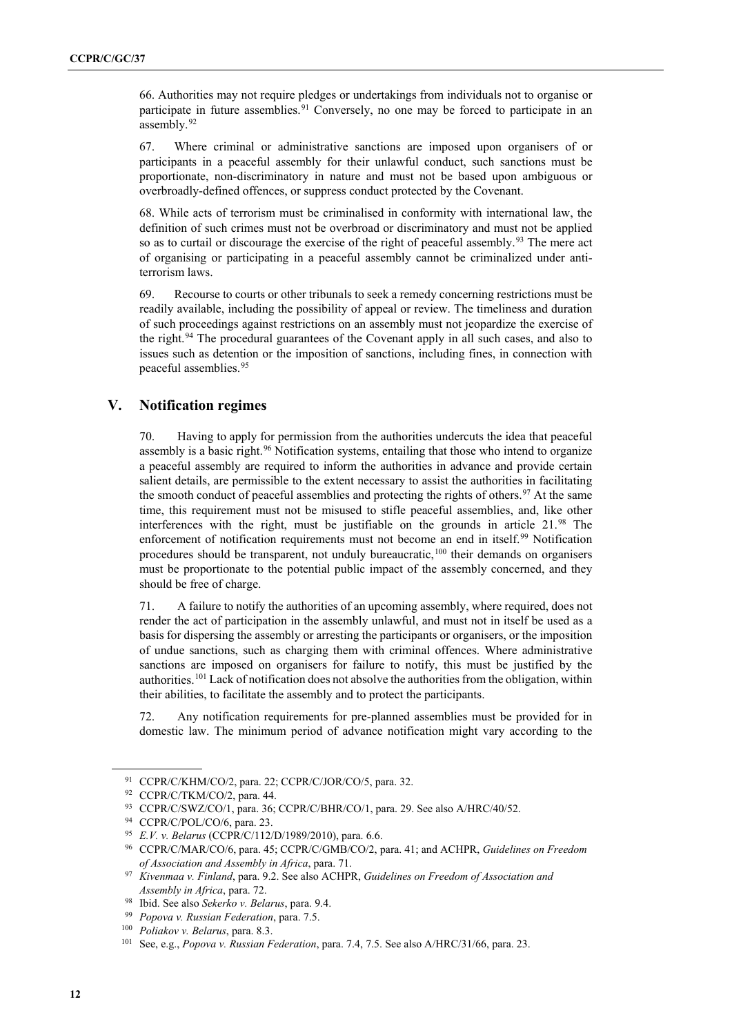66. Authorities may not require pledges or undertakings from individuals not to organise or participate in future assemblies.<sup>[91](#page-11-0)</sup> Conversely, no one may be forced to participate in an assembly.<sup>[92](#page-11-1)</sup>

67. Where criminal or administrative sanctions are imposed upon organisers of or participants in a peaceful assembly for their unlawful conduct, such sanctions must be proportionate, non-discriminatory in nature and must not be based upon ambiguous or overbroadly-defined offences, or suppress conduct protected by the Covenant.

68. While acts of terrorism must be criminalised in conformity with international law, the definition of such crimes must not be overbroad or discriminatory and must not be applied so as to curtail or discourage the exercise of the right of peaceful assembly.<sup>[93](#page-11-2)</sup> The mere act of organising or participating in a peaceful assembly cannot be criminalized under antiterrorism laws.

69. Recourse to courts or other tribunals to seek a remedy concerning restrictions must be readily available, including the possibility of appeal or review. The timeliness and duration of such proceedings against restrictions on an assembly must not jeopardize the exercise of the right.<sup>[94](#page-11-3)</sup> The procedural guarantees of the Covenant apply in all such cases, and also to issues such as detention or the imposition of sanctions, including fines, in connection with peaceful assemblies.[95](#page-11-4)

#### **V. Notification regimes**

70. Having to apply for permission from the authorities undercuts the idea that peaceful assembly is a basic right.<sup>[96](#page-11-5)</sup> Notification systems, entailing that those who intend to organize a peaceful assembly are required to inform the authorities in advance and provide certain salient details, are permissible to the extent necessary to assist the authorities in facilitating the smooth conduct of peaceful assemblies and protecting the rights of others.<sup>[97](#page-11-6)</sup> At the same time, this requirement must not be misused to stifle peaceful assemblies, and, like other interferences with the right, must be justifiable on the grounds in article 21.[98](#page-11-7) The enforcement of notification requirements must not become an end in itself.<sup>[99](#page-11-8)</sup> Notification procedures should be transparent, not unduly bureaucratic,  $100$  their demands on organisers must be proportionate to the potential public impact of the assembly concerned, and they should be free of charge.

71. A failure to notify the authorities of an upcoming assembly, where required, does not render the act of participation in the assembly unlawful, and must not in itself be used as a basis for dispersing the assembly or arresting the participants or organisers, or the imposition of undue sanctions, such as charging them with criminal offences. Where administrative sanctions are imposed on organisers for failure to notify, this must be justified by the authorities.<sup>[101](#page-11-10)</sup> Lack of notification does not absolve the authorities from the obligation, within their abilities, to facilitate the assembly and to protect the participants.

72. Any notification requirements for pre-planned assemblies must be provided for in domestic law. The minimum period of advance notification might vary according to the

<span id="page-11-0"></span><sup>91</sup> CCPR/C/KHM/CO/2, para. 22; CCPR/C/JOR/CO/5, para. 32.

<span id="page-11-1"></span><sup>92</sup> CCPR/C/TKM/CO/2, para. 44.

<span id="page-11-2"></span><sup>93</sup> CCPR/C/SWZ/CO/1, para. 36; CCPR/C/BHR/CO/1, para. 29. See also A/HRC/40/52.

<span id="page-11-4"></span><span id="page-11-3"></span><sup>94</sup> CCPR/C/POL/CO/6, para. 23.

<sup>95</sup> *E.V. v. Belarus* (CCPR/C/112/D/1989/2010), para. 6.6.

<span id="page-11-5"></span><sup>96</sup> CCPR/C/MAR/CO/6, para. 45; CCPR/C/GMB/CO/2, para. 41; and ACHPR, *Guidelines on Freedom of Association and Assembly in Africa*, para. 71.

<span id="page-11-6"></span><sup>97</sup> *Kivenmaa v. Finland*, para. 9.2. See also ACHPR, *Guidelines on Freedom of Association and Assembly in Africa*, para. 72.

<span id="page-11-7"></span><sup>98</sup> Ibid. See also *Sekerko v. Belarus*, para. 9.4.

<sup>99</sup> *Popova v. Russian Federation*, para. 7.5.

<span id="page-11-8"></span><sup>100</sup> *Poliakov v. Belarus*, para. 8.3.

<span id="page-11-10"></span><span id="page-11-9"></span><sup>101</sup> See, e.g., *Popova v. Russian Federation*, para. 7.4, 7.5. See also A/HRC/31/66, para. 23.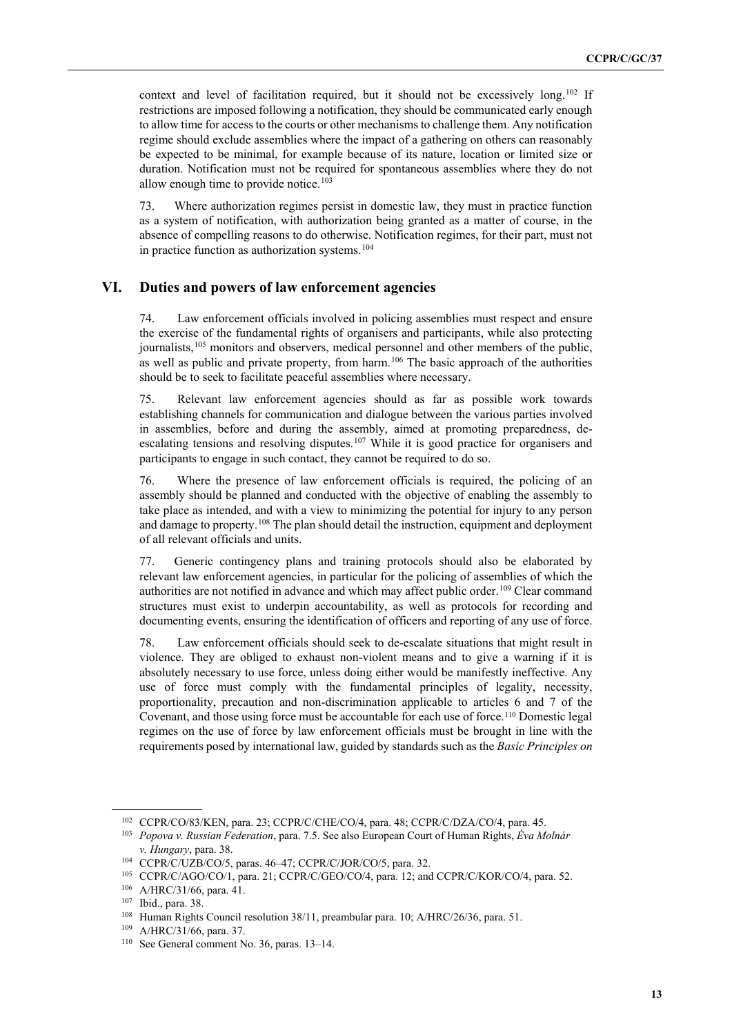context and level of facilitation required, but it should not be excessively long.<sup>[102](#page-12-0)</sup> If restrictions are imposed following a notification, they should be communicated early enough to allow time for access to the courts or other mechanisms to challenge them. Any notification regime should exclude assemblies where the impact of a gathering on others can reasonably be expected to be minimal, for example because of its nature, location or limited size or duration. Notification must not be required for spontaneous assemblies where they do not allow enough time to provide notice. $103$ 

73. Where authorization regimes persist in domestic law, they must in practice function as a system of notification, with authorization being granted as a matter of course, in the absence of compelling reasons to do otherwise. Notification regimes, for their part, must not in practice function as authorization systems.<sup>[104](#page-12-2)</sup>

#### **VI. Duties and powers of law enforcement agencies**

74. Law enforcement officials involved in policing assemblies must respect and ensure the exercise of the fundamental rights of organisers and participants, while also protecting journalists,<sup>[105](#page-12-3)</sup> monitors and observers, medical personnel and other members of the public, as well as public and private property, from harm.<sup>[106](#page-12-4)</sup> The basic approach of the authorities should be to seek to facilitate peaceful assemblies where necessary.

75. Relevant law enforcement agencies should as far as possible work towards establishing channels for communication and dialogue between the various parties involved in assemblies, before and during the assembly, aimed at promoting preparedness, de-escalating tensions and resolving disputes.<sup>[107](#page-12-5)</sup> While it is good practice for organisers and participants to engage in such contact, they cannot be required to do so.

76. Where the presence of law enforcement officials is required, the policing of an assembly should be planned and conducted with the objective of enabling the assembly to take place as intended, and with a view to minimizing the potential for injury to any person and damage to property.<sup>[108](#page-12-6)</sup> The plan should detail the instruction, equipment and deployment of all relevant officials and units.

77. Generic contingency plans and training protocols should also be elaborated by relevant law enforcement agencies, in particular for the policing of assemblies of which the authorities are not notified in advance and which may affect public order.<sup>[109](#page-12-7)</sup> Clear command structures must exist to underpin accountability, as well as protocols for recording and documenting events, ensuring the identification of officers and reporting of any use of force.

78. Law enforcement officials should seek to de-escalate situations that might result in violence. They are obliged to exhaust non-violent means and to give a warning if it is absolutely necessary to use force, unless doing either would be manifestly ineffective. Any use of force must comply with the fundamental principles of legality, necessity, proportionality, precaution and non-discrimination applicable to articles 6 and 7 of the Covenant, and those using force must be accountable for each use of force.[110](#page-12-8) Domestic legal regimes on the use of force by law enforcement officials must be brought in line with the requirements posed by international law, guided by standards such as the *Basic Principles on* 

<span id="page-12-0"></span><sup>102</sup> CCPR/CO/83/KEN, para. 23; CCPR/C/CHE/CO/4, para. 48; CCPR/C/DZA/CO/4, para. 45.

<span id="page-12-1"></span><sup>103</sup> *Popova v. Russian Federation*, para. 7.5. See also European Court of Human Rights, *Éva Molnár v. Hungary*, para. 38.<br><sup>104</sup> CCPR/C/UZB/CO/5, paras. 46–47; CCPR/C/JOR/CO/5, para. 32.

<span id="page-12-3"></span><span id="page-12-2"></span><sup>105</sup> CCPR/C/AGO/CO/1, para. 21; CCPR/C/GEO/CO/4, para. 12; and CCPR/C/KOR/CO/4, para. 52.

<sup>106</sup> A/HRC/31/66, para. 41.

<span id="page-12-5"></span><span id="page-12-4"></span><sup>107</sup> Ibid., para. 38.

<span id="page-12-6"></span><sup>108</sup> Human Rights Council resolution 38/11, preambular para. 10; A/HRC/26/36, para. 51.

<span id="page-12-7"></span><sup>109</sup> A/HRC/31/66, para. 37.

<span id="page-12-8"></span><sup>110</sup> See General comment No. 36, paras. 13–14.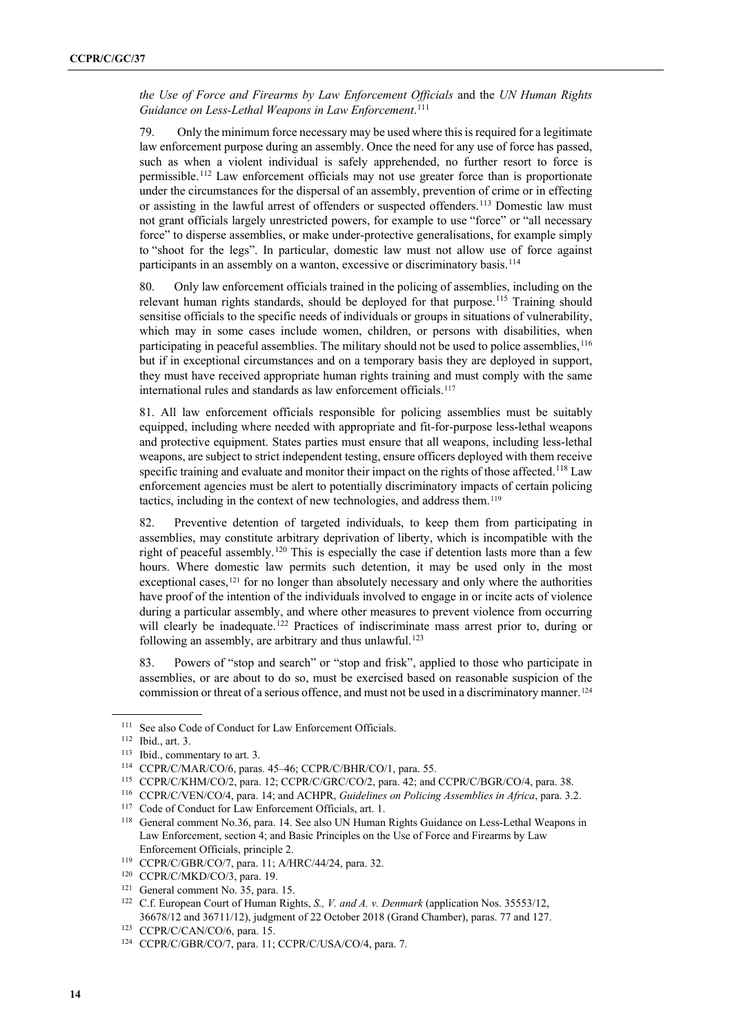*the Use of Force and Firearms by Law Enforcement Officials* and the *UN Human Rights Guidance on Less-Lethal Weapons in Law Enforcement*. [111](#page-13-0)

79. Only the minimum force necessary may be used where this is required for a legitimate law enforcement purpose during an assembly. Once the need for any use of force has passed, such as when a violent individual is safely apprehended, no further resort to force is permissible.[112](#page-13-1) Law enforcement officials may not use greater force than is proportionate under the circumstances for the dispersal of an assembly, prevention of crime or in effecting or assisting in the lawful arrest of offenders or suspected offenders.<sup>[113](#page-13-2)</sup> Domestic law must not grant officials largely unrestricted powers, for example to use "force" or "all necessary force" to disperse assemblies, or make under-protective generalisations, for example simply to "shoot for the legs". In particular, domestic law must not allow use of force against participants in an assembly on a wanton, excessive or discriminatory basis.<sup>[114](#page-13-3)</sup>

80. Only law enforcement officials trained in the policing of assemblies, including on the relevant human rights standards, should be deployed for that purpose.<sup>[115](#page-13-4)</sup> Training should sensitise officials to the specific needs of individuals or groups in situations of vulnerability, which may in some cases include women, children, or persons with disabilities, when participating in peaceful assemblies. The military should not be used to police assemblies, <sup>[116](#page-13-5)</sup> but if in exceptional circumstances and on a temporary basis they are deployed in support, they must have received appropriate human rights training and must comply with the same international rules and standards as law enforcement officials.<sup>[117](#page-13-6)</sup>

81. All law enforcement officials responsible for policing assemblies must be suitably equipped, including where needed with appropriate and fit-for-purpose less-lethal weapons and protective equipment. States parties must ensure that all weapons, including less-lethal weapons, are subject to strict independent testing, ensure officers deployed with them receive specific training and evaluate and monitor their impact on the rights of those affected.<sup>[118](#page-13-7)</sup> Law enforcement agencies must be alert to potentially discriminatory impacts of certain policing tactics, including in the context of new technologies, and address them.<sup>[119](#page-13-8)</sup>

82. Preventive detention of targeted individuals, to keep them from participating in assemblies, may constitute arbitrary deprivation of liberty, which is incompatible with the right of peaceful assembly.<sup>[120](#page-13-9)</sup> This is especially the case if detention lasts more than a few hours. Where domestic law permits such detention, it may be used only in the most exceptional cases, $121$  for no longer than absolutely necessary and only where the authorities have proof of the intention of the individuals involved to engage in or incite acts of violence during a particular assembly, and where other measures to prevent violence from occurring will clearly be inadequate.<sup>[122](#page-13-11)</sup> Practices of indiscriminate mass arrest prior to, during or following an assembly, are arbitrary and thus unlawful.<sup>[123](#page-13-12)</sup>

83. Powers of "stop and search" or "stop and frisk", applied to those who participate in assemblies, or are about to do so, must be exercised based on reasonable suspicion of the commission or threat of a serious offence, and must not be used in a discriminatory manner.<sup>[124](#page-13-13)</sup>

<span id="page-13-0"></span><sup>&</sup>lt;sup>111</sup> See also Code of Conduct for Law Enforcement Officials.

<span id="page-13-1"></span><sup>112</sup> Ibid., art. 3.

<span id="page-13-2"></span><sup>113</sup> Ibid., commentary to art. 3.

<span id="page-13-3"></span><sup>114</sup> CCPR/C/MAR/CO/6, paras. 45–46; CCPR/C/BHR/CO/1, para. 55.

<span id="page-13-4"></span><sup>115</sup> CCPR/C/KHM/CO/2, para. 12; CCPR/C/GRC/CO/2, para. 42; and CCPR/C/BGR/CO/4, para. 38.

<span id="page-13-5"></span><sup>116</sup> CCPR/C/VEN/CO/4, para. 14; and ACHPR, *Guidelines on Policing Assemblies in Africa*, para. 3.2.

<span id="page-13-6"></span><sup>117</sup> Code of Conduct for Law Enforcement Officials, art. 1.

<span id="page-13-7"></span><sup>118</sup> General comment No.36, para. 14. See also UN Human Rights Guidance on Less-Lethal Weapons in Law Enforcement, section 4; and Basic Principles on the Use of Force and Firearms by Law

<span id="page-13-8"></span>Enforcement Officials, principle 2.<br><sup>119</sup> CCPR/C/GBR/CO/7, para. 11; A/HRC/44/24, para. 32.

<span id="page-13-9"></span><sup>120</sup> CCPR/C/MKD/CO/3, para. 19.

<span id="page-13-10"></span><sup>&</sup>lt;sup>121</sup> General comment No. 35, para. 15.

<span id="page-13-11"></span><sup>122</sup> C.f. European Court of Human Rights, *S., V. and A. v. Denmark* (application Nos. 35553/12, 36678/12 and 36711/12), judgment of 22 October 2018 (Grand Chamber), paras. 77 and 127.

<span id="page-13-12"></span><sup>123</sup> CCPR/C/CAN/CO/6, para. 15.

<span id="page-13-13"></span><sup>124</sup> CCPR/C/GBR/CO/7, para. 11; CCPR/C/USA/CO/4, para. 7.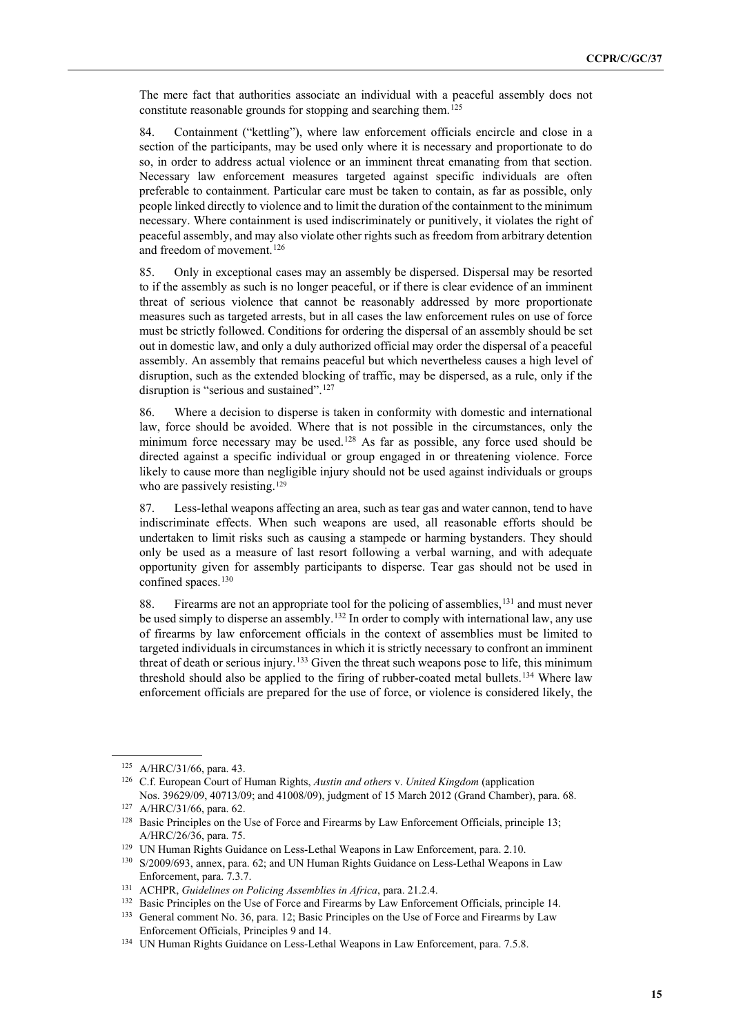The mere fact that authorities associate an individual with a peaceful assembly does not constitute reasonable grounds for stopping and searching them.<sup>[125](#page-14-0)</sup>

84. Containment ("kettling"), where law enforcement officials encircle and close in a section of the participants, may be used only where it is necessary and proportionate to do so, in order to address actual violence or an imminent threat emanating from that section. Necessary law enforcement measures targeted against specific individuals are often preferable to containment. Particular care must be taken to contain, as far as possible, only people linked directly to violence and to limit the duration of the containment to the minimum necessary. Where containment is used indiscriminately or punitively, it violates the right of peaceful assembly, and may also violate other rights such as freedom from arbitrary detention and freedom of movement.<sup>[126](#page-14-1)</sup>

85. Only in exceptional cases may an assembly be dispersed. Dispersal may be resorted to if the assembly as such is no longer peaceful, or if there is clear evidence of an imminent threat of serious violence that cannot be reasonably addressed by more proportionate measures such as targeted arrests, but in all cases the law enforcement rules on use of force must be strictly followed. Conditions for ordering the dispersal of an assembly should be set out in domestic law, and only a duly authorized official may order the dispersal of a peaceful assembly. An assembly that remains peaceful but which nevertheless causes a high level of disruption, such as the extended blocking of traffic, may be dispersed, as a rule, only if the disruption is "serious and sustained".<sup>127</sup>

86. Where a decision to disperse is taken in conformity with domestic and international law, force should be avoided. Where that is not possible in the circumstances, only the minimum force necessary may be used.<sup>[128](#page-14-3)</sup> As far as possible, any force used should be directed against a specific individual or group engaged in or threatening violence. Force likely to cause more than negligible injury should not be used against individuals or groups who are passively resisting.<sup>[129](#page-14-4)</sup>

87. Less-lethal weapons affecting an area, such as tear gas and water cannon, tend to have indiscriminate effects. When such weapons are used, all reasonable efforts should be undertaken to limit risks such as causing a stampede or harming bystanders. They should only be used as a measure of last resort following a verbal warning, and with adequate opportunity given for assembly participants to disperse. Tear gas should not be used in confined spaces.<sup>[130](#page-14-5)</sup>

88. Firearms are not an appropriate tool for the policing of assemblies,<sup>[131](#page-14-6)</sup> and must never be used simply to disperse an assembly.<sup>[132](#page-14-7)</sup> In order to comply with international law, any use of firearms by law enforcement officials in the context of assemblies must be limited to targeted individuals in circumstances in which it is strictly necessary to confront an imminent threat of death or serious injury.<sup>[133](#page-14-8)</sup> Given the threat such weapons pose to life, this minimum threshold should also be applied to the firing of rubber-coated metal bullets.<sup>[134](#page-14-9)</sup> Where law enforcement officials are prepared for the use of force, or violence is considered likely, the

<sup>125</sup> A/HRC/31/66, para. 43.

<span id="page-14-1"></span><span id="page-14-0"></span><sup>126</sup> C.f. European Court of Human Rights, *Austin and others* v. *United Kingdom* (application Nos. 39629/09, 40713/09; and 41008/09), judgment of 15 March 2012 (Grand Chamber), para. 68.

<span id="page-14-2"></span><sup>127</sup> A/HRC/31/66, para. 62.

<span id="page-14-3"></span><sup>&</sup>lt;sup>128</sup> Basic Principles on the Use of Force and Firearms by Law Enforcement Officials, principle 13; A/HRC/26/36, para. 75.

<span id="page-14-4"></span><sup>&</sup>lt;sup>129</sup> UN Human Rights Guidance on Less-Lethal Weapons in Law Enforcement, para. 2.10.

<span id="page-14-5"></span><sup>130</sup> S/2009/693, annex, para. 62; and UN Human Rights Guidance on Less-Lethal Weapons in Law Enforcement, para. 7.3.7.

<span id="page-14-6"></span><sup>131</sup> ACHPR, *Guidelines on Policing Assemblies in Africa*, para. 21.2.4.

<span id="page-14-8"></span><span id="page-14-7"></span><sup>&</sup>lt;sup>132</sup> Basic Principles on the Use of Force and Firearms by Law Enforcement Officials, principle 14. <sup>133</sup> General comment No. 36, para. 12; Basic Principles on the Use of Force and Firearms by Law

Enforcement Officials, Principles 9 and 14.

<span id="page-14-9"></span><sup>&</sup>lt;sup>134</sup> UN Human Rights Guidance on Less-Lethal Weapons in Law Enforcement, para. 7.5.8.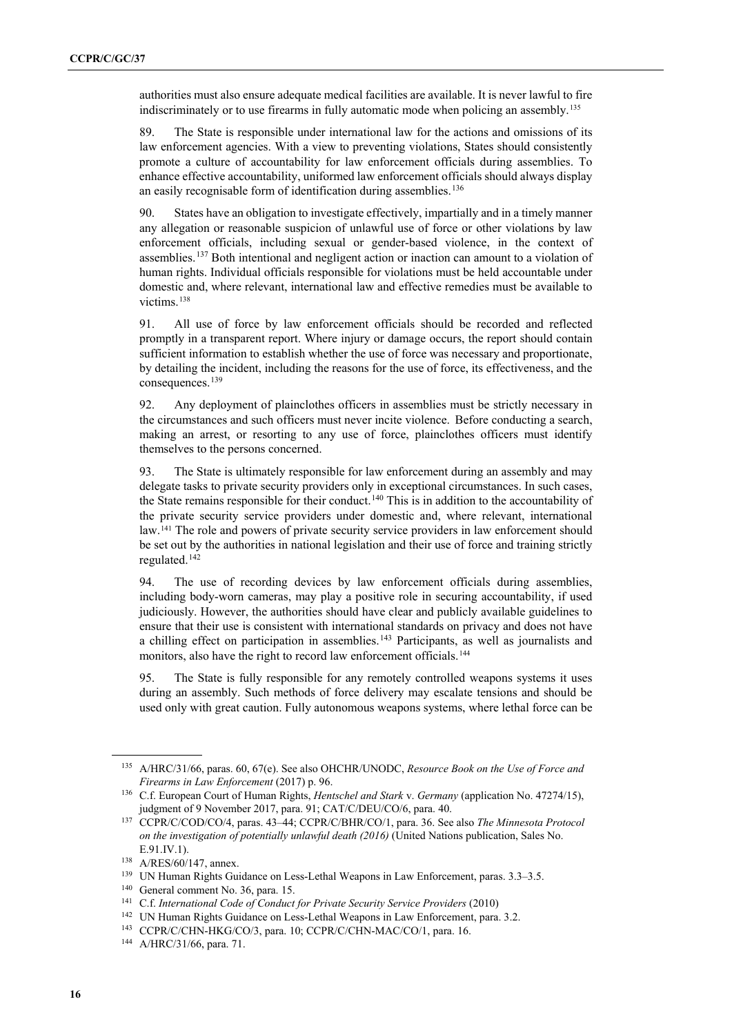authorities must also ensure adequate medical facilities are available. It is never lawful to fire indiscriminately or to use firearms in fully automatic mode when policing an assembly.[135](#page-15-0)

89. The State is responsible under international law for the actions and omissions of its law enforcement agencies. With a view to preventing violations, States should consistently promote a culture of accountability for law enforcement officials during assemblies. To enhance effective accountability, uniformed law enforcement officials should always display an easily recognisable form of identification during assemblies.<sup>[136](#page-15-1)</sup>

90. States have an obligation to investigate effectively, impartially and in a timely manner any allegation or reasonable suspicion of unlawful use of force or other violations by law enforcement officials, including sexual or gender-based violence, in the context of assemblies.[137](#page-15-2) Both intentional and negligent action or inaction can amount to a violation of human rights. Individual officials responsible for violations must be held accountable under domestic and, where relevant, international law and effective remedies must be available to victims.<sup>[138](#page-15-3)</sup>

91. All use of force by law enforcement officials should be recorded and reflected promptly in a transparent report. Where injury or damage occurs, the report should contain sufficient information to establish whether the use of force was necessary and proportionate, by detailing the incident, including the reasons for the use of force, its effectiveness, and the consequences.<sup>[139](#page-15-4)</sup>

92. Any deployment of plainclothes officers in assemblies must be strictly necessary in the circumstances and such officers must never incite violence. Before conducting a search, making an arrest, or resorting to any use of force, plainclothes officers must identify themselves to the persons concerned.

93. The State is ultimately responsible for law enforcement during an assembly and may delegate tasks to private security providers only in exceptional circumstances. In such cases, the State remains responsible for their conduct.<sup>[140](#page-15-5)</sup> This is in addition to the accountability of the private security service providers under domestic and, where relevant, international law.[141](#page-15-6) The role and powers of private security service providers in law enforcement should be set out by the authorities in national legislation and their use of force and training strictly regulated.<sup>[142](#page-15-7)</sup>

94. The use of recording devices by law enforcement officials during assemblies, including body-worn cameras, may play a positive role in securing accountability, if used judiciously. However, the authorities should have clear and publicly available guidelines to ensure that their use is consistent with international standards on privacy and does not have a chilling effect on participation in assemblies.<sup>[143](#page-15-8)</sup> Participants, as well as journalists and monitors, also have the right to record law enforcement officials.[144](#page-15-9)

95. The State is fully responsible for any remotely controlled weapons systems it uses during an assembly. Such methods of force delivery may escalate tensions and should be used only with great caution. Fully autonomous weapons systems, where lethal force can be

<span id="page-15-0"></span><sup>135</sup> A/HRC/31/66, paras. 60, 67(e). See also OHCHR/UNODC, *Resource Book on the Use of Force and Firearms in Law Enforcement* (2017) p. 96.

<span id="page-15-1"></span><sup>136</sup> C.f. European Court of Human Rights, *Hentschel and Stark* v. *Germany* (application No. 47274/15), judgment of 9 November 2017, para. 91; CAT/C/DEU/CO/6, para. 40.

<span id="page-15-2"></span><sup>137</sup> CCPR/C/COD/CO/4, paras. 43–44; CCPR/C/BHR/CO/1, para. 36. See also *The Minnesota Protocol on the investigation of potentially unlawful death (2016)* (United Nations publication, Sales No. E.91.IV.1).

<span id="page-15-3"></span><sup>138</sup> A/RES/60/147, annex.

<span id="page-15-4"></span><sup>139</sup> UN Human Rights Guidance on Less-Lethal Weapons in Law Enforcement, paras. 3.3–3.5. 140 General comment No. 36, para. 15.

<span id="page-15-5"></span>

<span id="page-15-6"></span><sup>141</sup> C.f. *International Code of Conduct for Private Security Service Providers* (2010)

<sup>&</sup>lt;sup>142</sup> UN Human Rights Guidance on Less-Lethal Weapons in Law Enforcement, para. 3.2.

<span id="page-15-9"></span><span id="page-15-8"></span><span id="page-15-7"></span><sup>143</sup> CCPR/C/CHN-HKG/CO/3, para. 10; CCPR/C/CHN-MAC/CO/1, para. 16.

<sup>144</sup> A/HRC/31/66, para. 71.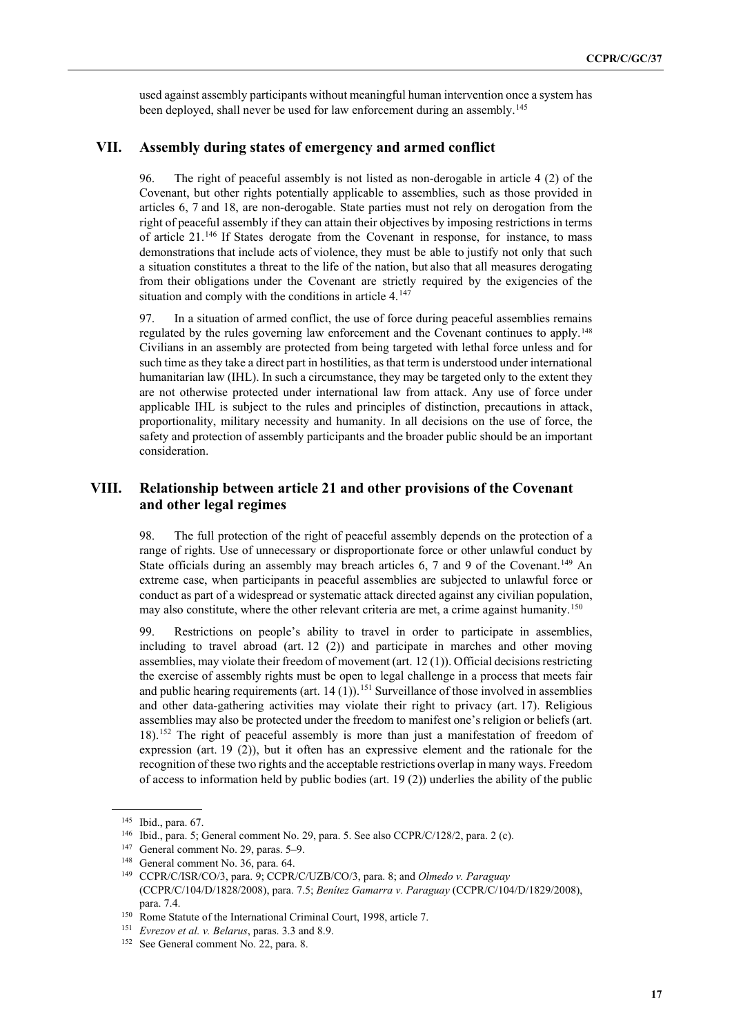used against assembly participants without meaningful human intervention once a system has been deployed, shall never be used for law enforcement during an assembly.<sup>[145](#page-16-0)</sup>

#### **VII. Assembly during states of emergency and armed conflict**

96. The right of peaceful assembly is not listed as non-derogable in article 4 (2) of the Covenant, but other rights potentially applicable to assemblies, such as those provided in articles 6, 7 and 18, are non-derogable. State parties must not rely on derogation from the right of peaceful assembly if they can attain their objectives by imposing restrictions in terms of article 21.[146](#page-16-1) If States derogate from the Covenant in response, for instance, to mass demonstrations that include acts of violence, they must be able to justify not only that such a situation constitutes a threat to the life of the nation, but also that all measures derogating from their obligations under the Covenant are strictly required by the exigencies of the situation and comply with the conditions in article 4.<sup>[147](#page-16-2)</sup>

97. In a situation of armed conflict, the use of force during peaceful assemblies remains regulated by the rules governing law enforcement and the Covenant continues to apply.<sup>[148](#page-16-3)</sup> Civilians in an assembly are protected from being targeted with lethal force unless and for such time as they take a direct part in hostilities, as that term is understood under international humanitarian law (IHL). In such a circumstance, they may be targeted only to the extent they are not otherwise protected under international law from attack. Any use of force under applicable IHL is subject to the rules and principles of distinction, precautions in attack, proportionality, military necessity and humanity. In all decisions on the use of force, the safety and protection of assembly participants and the broader public should be an important consideration.

#### **VIII. Relationship between article 21 and other provisions of the Covenant and other legal regimes**

98. The full protection of the right of peaceful assembly depends on the protection of a range of rights. Use of unnecessary or disproportionate force or other unlawful conduct by State officials during an assembly may breach articles 6, 7 and 9 of the Covenant.<sup>[149](#page-16-4)</sup> An extreme case, when participants in peaceful assemblies are subjected to unlawful force or conduct as part of a widespread or systematic attack directed against any civilian population, may also constitute, where the other relevant criteria are met, a crime against humanity.<sup>[150](#page-16-5)</sup>

99. Restrictions on people's ability to travel in order to participate in assemblies, including to travel abroad (art. 12 (2)) and participate in marches and other moving assemblies, may violate their freedom of movement (art. 12 (1)). Official decisions restricting the exercise of assembly rights must be open to legal challenge in a process that meets fair and public hearing requirements (art.  $14 (1)$ ).<sup>[151](#page-16-6)</sup> Surveillance of those involved in assemblies and other data-gathering activities may violate their right to privacy (art. 17). Religious assemblies may also be protected under the freedom to manifest one's religion or beliefs (art. 18).[152](#page-16-7) The right of peaceful assembly is more than just a manifestation of freedom of expression (art. 19 (2)), but it often has an expressive element and the rationale for the recognition of these two rights and the acceptable restrictions overlap in many ways. Freedom of access to information held by public bodies (art. 19 (2)) underlies the ability of the public

<span id="page-16-0"></span><sup>145</sup> Ibid., para. 67.

<span id="page-16-1"></span><sup>146</sup> Ibid., para. 5; General comment No. 29, para. 5. See also CCPR/C/128/2, para. 2 (c).

<span id="page-16-2"></span><sup>147</sup> General comment No. 29, paras. 5–9.

<span id="page-16-4"></span><span id="page-16-3"></span><sup>&</sup>lt;sup>148</sup> General comment No. 36, para. 64.

<sup>149</sup> CCPR/C/ISR/CO/3, para. 9; CCPR/C/UZB/CO/3, para. 8; and *Olmedo v. Paraguay* (CCPR/C/104/D/1828/2008), para. 7.5; *Benítez Gamarra v. Paraguay* (CCPR/C/104/D/1829/2008), para. 7.4.

<span id="page-16-5"></span><sup>&</sup>lt;sup>150</sup> Rome Statute of the International Criminal Court, 1998, article 7.

<span id="page-16-6"></span><sup>151</sup> *Evrezov et al. v. Belarus*, paras. 3.3 and 8.9.

<span id="page-16-7"></span><sup>&</sup>lt;sup>152</sup> See General comment No. 22, para. 8.